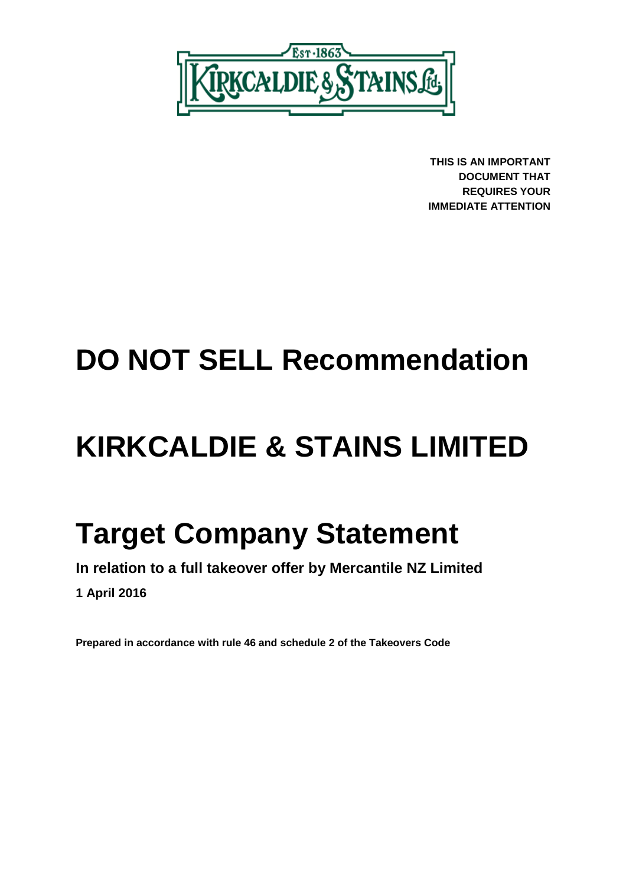

**THIS IS AN IMPORTANT DOCUMENT THAT REQUIRES YOUR IMMEDIATE ATTENTION**

# **DO NOT SELL Recommendation**

# **KIRKCALDIE & STAINS LIMITED**

# **Target Company Statement**

**In relation to a full takeover offer by Mercantile NZ Limited**

**1 April 2016**

**Prepared in accordance with rule 46 and schedule 2 of the Takeovers Code**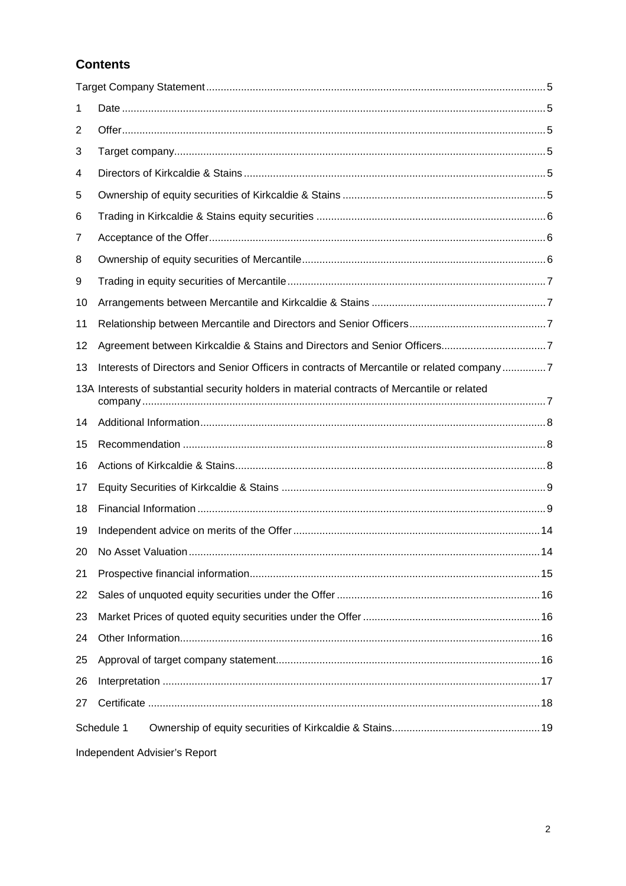# **Contents**

| 1  |                                                                                              |
|----|----------------------------------------------------------------------------------------------|
| 2  |                                                                                              |
| 3  |                                                                                              |
| 4  |                                                                                              |
| 5  |                                                                                              |
| 6  |                                                                                              |
| 7  |                                                                                              |
| 8  |                                                                                              |
| 9  |                                                                                              |
| 10 |                                                                                              |
| 11 |                                                                                              |
| 12 |                                                                                              |
| 13 | Interests of Directors and Senior Officers in contracts of Mercantile or related company7    |
|    | 13A Interests of substantial security holders in material contracts of Mercantile or related |
| 14 |                                                                                              |
| 15 |                                                                                              |
| 16 |                                                                                              |
| 17 |                                                                                              |
| 18 |                                                                                              |
| 19 |                                                                                              |
|    |                                                                                              |
| 21 |                                                                                              |
| 22 |                                                                                              |
| 23 |                                                                                              |
| 24 |                                                                                              |
| 25 |                                                                                              |
| 26 |                                                                                              |
| 27 |                                                                                              |
|    | Schedule 1                                                                                   |
|    | Independent Advisier's Report                                                                |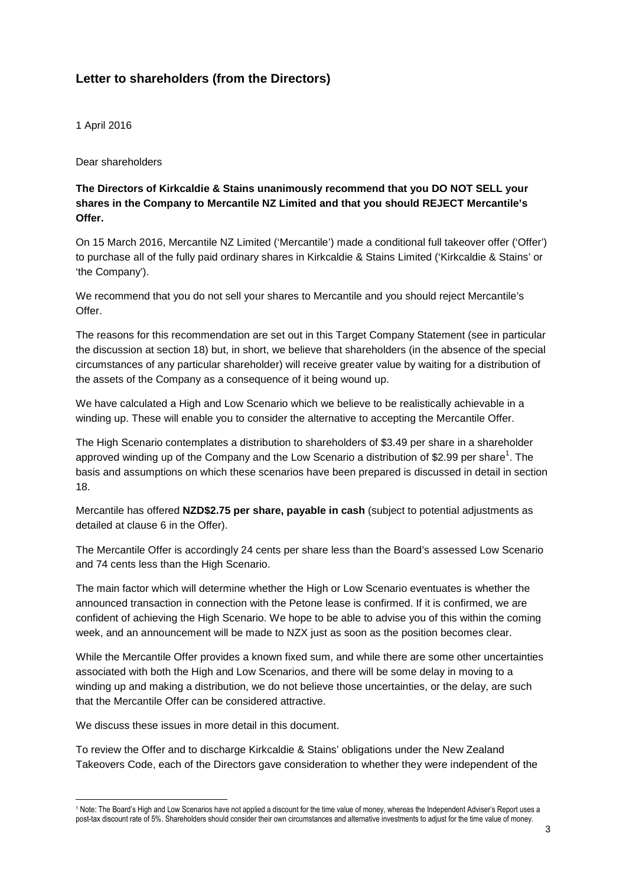# **Letter to shareholders (from the Directors)**

1 April 2016

Dear shareholders

**The Directors of Kirkcaldie & Stains unanimously recommend that you DO NOT SELL your shares in the Company to Mercantile NZ Limited and that you should REJECT Mercantile's Offer.**

On 15 March 2016, Mercantile NZ Limited ('Mercantile') made a conditional full takeover offer ('Offer') to purchase all of the fully paid ordinary shares in Kirkcaldie & Stains Limited ('Kirkcaldie & Stains' or 'the Company').

We recommend that you do not sell your shares to Mercantile and you should reject Mercantile's Offer.

The reasons for this recommendation are set out in this Target Company Statement (see in particular the discussion at section 18) but, in short, we believe that shareholders (in the absence of the special circumstances of any particular shareholder) will receive greater value by waiting for a distribution of the assets of the Company as a consequence of it being wound up.

We have calculated a High and Low Scenario which we believe to be realistically achievable in a winding up. These will enable you to consider the alternative to accepting the Mercantile Offer.

The High Scenario contemplates a distribution to shareholders of \$3.49 per share in a shareholder approved winding up of the Company and the Low Scenario a distribution of \$2.99 per share<sup>1</sup>. The basis and assumptions on which these scenarios have been prepared is discussed in detail in section 18.

Mercantile has offered **NZD\$2.75 per share, payable in cash** (subject to potential adjustments as detailed at clause 6 in the Offer).

The Mercantile Offer is accordingly 24 cents per share less than the Board's assessed Low Scenario and 74 cents less than the High Scenario.

The main factor which will determine whether the High or Low Scenario eventuates is whether the announced transaction in connection with the Petone lease is confirmed. If it is confirmed, we are confident of achieving the High Scenario. We hope to be able to advise you of this within the coming week, and an announcement will be made to NZX just as soon as the position becomes clear.

While the Mercantile Offer provides a known fixed sum, and while there are some other uncertainties associated with both the High and Low Scenarios, and there will be some delay in moving to a winding up and making a distribution, we do not believe those uncertainties, or the delay, are such that the Mercantile Offer can be considered attractive.

We discuss these issues in more detail in this document.

To review the Offer and to discharge Kirkcaldie & Stains' obligations under the New Zealand Takeovers Code, each of the Directors gave consideration to whether they were independent of the

<sup>1</sup> Note: The Board's High and Low Scenarios have not applied a discount for the time value of money, whereas the Independent Adviser's Report uses a post-tax discount rate of 5%. Shareholders should consider their own circumstances and alternative investments to adjust for the time value of money.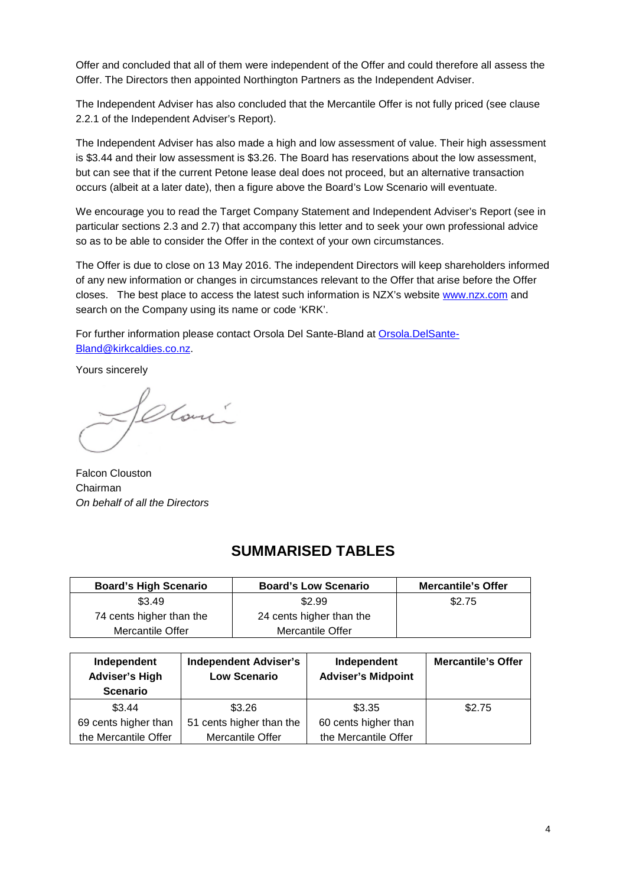Offer and concluded that all of them were independent of the Offer and could therefore all assess the Offer. The Directors then appointed Northington Partners as the Independent Adviser.

The Independent Adviser has also concluded that the Mercantile Offer is not fully priced (see clause 2.2.1 of the Independent Adviser's Report).

The Independent Adviser has also made a high and low assessment of value. Their high assessment is \$3.44 and their low assessment is \$3.26. The Board has reservations about the low assessment, but can see that if the current Petone lease deal does not proceed, but an alternative transaction occurs (albeit at a later date), then a figure above the Board's Low Scenario will eventuate.

We encourage you to read the Target Company Statement and Independent Adviser's Report (see in particular sections 2.3 and 2.7) that accompany this letter and to seek your own professional advice so as to be able to consider the Offer in the context of your own circumstances.

The Offer is due to close on 13 May 2016. The independent Directors will keep shareholders informed of any new information or changes in circumstances relevant to the Offer that arise before the Offer closes. The best place to access the latest such information is NZX's website www.nzx.com and search on the Company using its name or code 'KRK'.

For further information please contact Orsola Del Sante-Bland at Orsola.DelSante-Bland@kirkcaldies.co.nz.

Yours sincerely

Clari

Falcon Clouston Chairman *On behalf of all the Directors*

# **SUMMARISED TABLES**

| <b>Board's High Scenario</b> | <b>Board's Low Scenario</b> | <b>Mercantile's Offer</b> |
|------------------------------|-----------------------------|---------------------------|
| \$3.49                       | \$2.99                      | \$2.75                    |
| 74 cents higher than the     | 24 cents higher than the    |                           |
| Mercantile Offer             | Mercantile Offer            |                           |

| Independent<br><b>Adviser's High</b><br><b>Scenario</b> | <b>Independent Adviser's</b><br><b>Low Scenario</b> | Independent<br><b>Adviser's Midpoint</b> | <b>Mercantile's Offer</b> |
|---------------------------------------------------------|-----------------------------------------------------|------------------------------------------|---------------------------|
| \$3.44                                                  | \$3.26                                              | \$3.35                                   | \$2.75                    |
| 69 cents higher than                                    | 51 cents higher than the                            | 60 cents higher than                     |                           |
| the Mercantile Offer                                    | Mercantile Offer                                    | the Mercantile Offer                     |                           |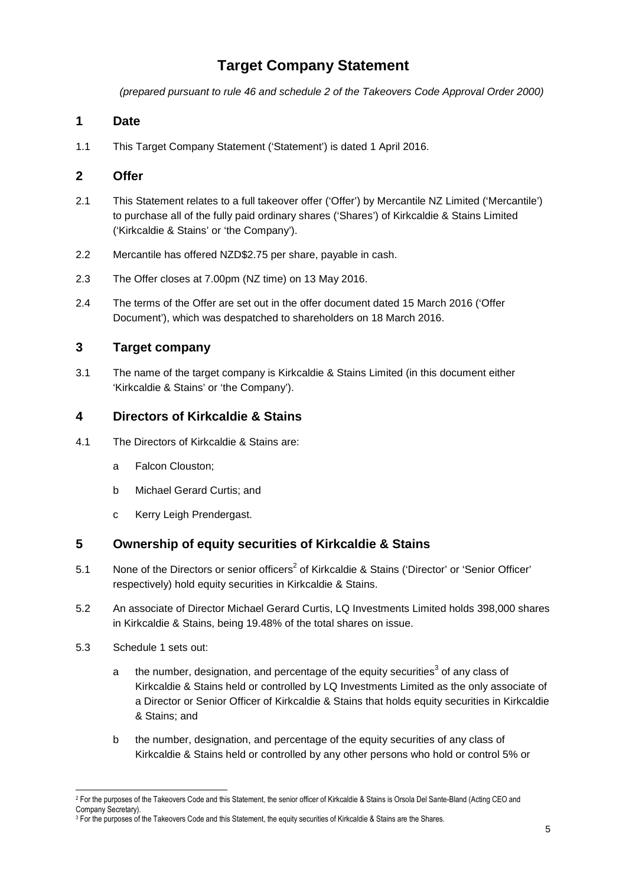# **Target Company Statement**

*(prepared pursuant to rule 46 and schedule 2 of the Takeovers Code Approval Order 2000)*

# **1 Date**

1.1 This Target Company Statement ('Statement') is dated 1 April 2016.

# **2 Offer**

- 2.1 This Statement relates to a full takeover offer ('Offer') by Mercantile NZ Limited ('Mercantile') to purchase all of the fully paid ordinary shares ('Shares') of Kirkcaldie & Stains Limited ('Kirkcaldie & Stains' or 'the Company').
- 2.2 Mercantile has offered NZD\$2.75 per share, payable in cash.
- 2.3 The Offer closes at 7.00pm (NZ time) on 13 May 2016.
- 2.4 The terms of the Offer are set out in the offer document dated 15 March 2016 ('Offer Document'), which was despatched to shareholders on 18 March 2016.

# **3 Target company**

3.1 The name of the target company is Kirkcaldie & Stains Limited (in this document either 'Kirkcaldie & Stains' or 'the Company').

### **4 Directors of Kirkcaldie & Stains**

- 4.1 The Directors of Kirkcaldie & Stains are:
	- a Falcon Clouston;
	- b Michael Gerard Curtis; and
	- c Kerry Leigh Prendergast.

### **5 Ownership of equity securities of Kirkcaldie & Stains**

- 5.1 None of the Directors or senior officers<sup>2</sup> of Kirkcaldie & Stains ('Director' or 'Senior Officer' respectively) hold equity securities in Kirkcaldie & Stains.
- 5.2 An associate of Director Michael Gerard Curtis, LQ Investments Limited holds 398,000 shares in Kirkcaldie & Stains, being 19.48% of the total shares on issue.
- 5.3 Schedule 1 sets out:
	- a bthe number, designation, and percentage of the equity securities<sup>3</sup> of any class of Kirkcaldie & Stains held or controlled by LQ Investments Limited as the only associate of a Director or Senior Officer of Kirkcaldie & Stains that holds equity securities in Kirkcaldie & Stains; and
	- b the number, designation, and percentage of the equity securities of any class of Kirkcaldie & Stains held or controlled by any other persons who hold or control 5% or

<sup>2</sup> For the purposes of the Takeovers Code and this Statement, the senior officer of Kirkcaldie & Stains is Orsola Del Sante-Bland (Acting CEO and Company Secretary).

<sup>3</sup> For the purposes of the Takeovers Code and this Statement, the equity securities of Kirkcaldie & Stains are the Shares.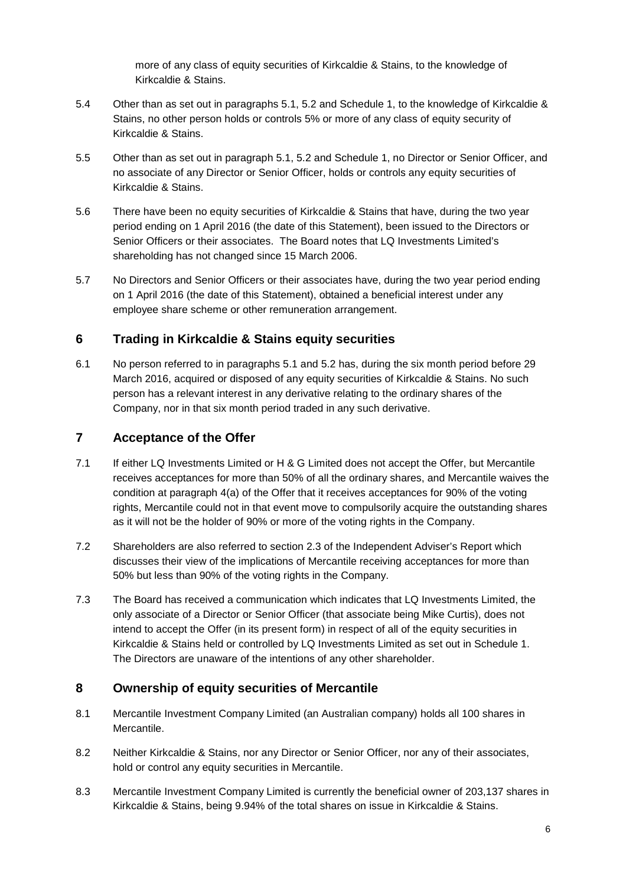more of any class of equity securities of Kirkcaldie & Stains, to the knowledge of Kirkcaldie & Stains.

- 5.4 Other than as set out in paragraphs 5.1, 5.2 and Schedule 1, to the knowledge of Kirkcaldie & Stains, no other person holds or controls 5% or more of any class of equity security of Kirkcaldie & Stains.
- 5.5 Other than as set out in paragraph 5.1, 5.2 and Schedule 1, no Director or Senior Officer, and no associate of any Director or Senior Officer, holds or controls any equity securities of Kirkcaldie & Stains.
- 5.6 There have been no equity securities of Kirkcaldie & Stains that have, during the two year period ending on 1 April 2016 (the date of this Statement), been issued to the Directors or Senior Officers or their associates. The Board notes that LQ Investments Limited's shareholding has not changed since 15 March 2006.
- 5.7 No Directors and Senior Officers or their associates have, during the two year period ending on 1 April 2016 (the date of this Statement), obtained a beneficial interest under any employee share scheme or other remuneration arrangement.

# **6 Trading in Kirkcaldie & Stains equity securities**

6.1 No person referred to in paragraphs 5.1 and 5.2 has, during the six month period before 29 March 2016, acquired or disposed of any equity securities of Kirkcaldie & Stains. No such person has a relevant interest in any derivative relating to the ordinary shares of the Company, nor in that six month period traded in any such derivative.

# **7 Acceptance of the Offer**

- 7.1 If either LQ Investments Limited or H & G Limited does not accept the Offer, but Mercantile receives acceptances for more than 50% of all the ordinary shares, and Mercantile waives the condition at paragraph 4(a) of the Offer that it receives acceptances for 90% of the voting rights, Mercantile could not in that event move to compulsorily acquire the outstanding shares as it will not be the holder of 90% or more of the voting rights in the Company.
- 7.2 Shareholders are also referred to section 2.3 of the Independent Adviser's Report which discusses their view of the implications of Mercantile receiving acceptances for more than 50% but less than 90% of the voting rights in the Company.
- 7.3 The Board has received a communication which indicates that LQ Investments Limited, the only associate of a Director or Senior Officer (that associate being Mike Curtis), does not intend to accept the Offer (in its present form) in respect of all of the equity securities in Kirkcaldie & Stains held or controlled by LQ Investments Limited as set out in Schedule 1. The Directors are unaware of the intentions of any other shareholder.

# **8 Ownership of equity securities of Mercantile**

- 8.1 Mercantile Investment Company Limited (an Australian company) holds all 100 shares in Mercantile.
- 8.2 Neither Kirkcaldie & Stains, nor any Director or Senior Officer, nor any of their associates, hold or control any equity securities in Mercantile.
- 8.3 Mercantile Investment Company Limited is currently the beneficial owner of 203,137 shares in Kirkcaldie & Stains, being 9.94% of the total shares on issue in Kirkcaldie & Stains.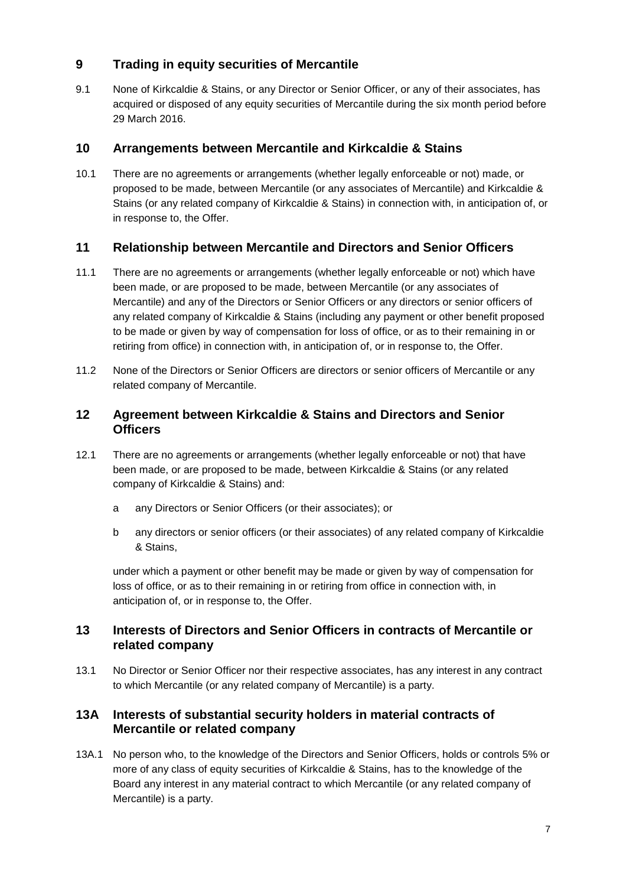# **9 Trading in equity securities of Mercantile**

9.1 None of Kirkcaldie & Stains, or any Director or Senior Officer, or any of their associates, has acquired or disposed of any equity securities of Mercantile during the six month period before 29 March 2016.

# **10 Arrangements between Mercantile and Kirkcaldie & Stains**

10.1 There are no agreements or arrangements (whether legally enforceable or not) made, or proposed to be made, between Mercantile (or any associates of Mercantile) and Kirkcaldie & Stains (or any related company of Kirkcaldie & Stains) in connection with, in anticipation of, or in response to, the Offer.

# **11 Relationship between Mercantile and Directors and Senior Officers**

- 11.1 There are no agreements or arrangements (whether legally enforceable or not) which have been made, or are proposed to be made, between Mercantile (or any associates of Mercantile) and any of the Directors or Senior Officers or any directors or senior officers of any related company of Kirkcaldie & Stains (including any payment or other benefit proposed to be made or given by way of compensation for loss of office, or as to their remaining in or retiring from office) in connection with, in anticipation of, or in response to, the Offer.
- 11.2 None of the Directors or Senior Officers are directors or senior officers of Mercantile or any related company of Mercantile.

# **12 Agreement between Kirkcaldie & Stains and Directors and Senior Officers**

- 12.1 There are no agreements or arrangements (whether legally enforceable or not) that have been made, or are proposed to be made, between Kirkcaldie & Stains (or any related company of Kirkcaldie & Stains) and:
	- a any Directors or Senior Officers (or their associates); or
	- b any directors or senior officers (or their associates) of any related company of Kirkcaldie & Stains,

under which a payment or other benefit may be made or given by way of compensation for loss of office, or as to their remaining in or retiring from office in connection with, in anticipation of, or in response to, the Offer.

# **13 Interests of Directors and Senior Officers in contracts of Mercantile or related company**

13.1 No Director or Senior Officer nor their respective associates, has any interest in any contract to which Mercantile (or any related company of Mercantile) is a party.

# **13A Interests of substantial security holders in material contracts of Mercantile or related company**

13A.1 No person who, to the knowledge of the Directors and Senior Officers, holds or controls 5% or more of any class of equity securities of Kirkcaldie & Stains, has to the knowledge of the Board any interest in any material contract to which Mercantile (or any related company of Mercantile) is a party.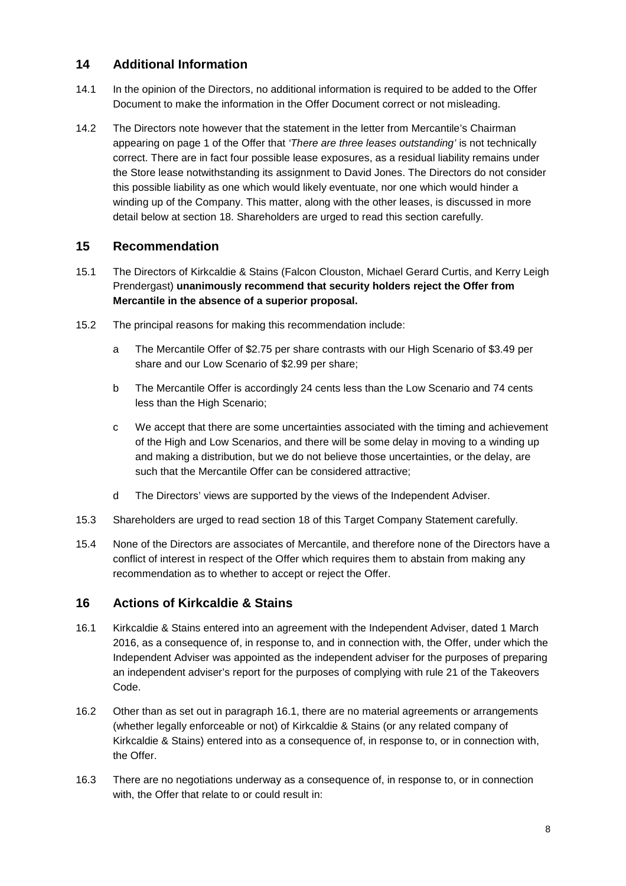# **14 Additional Information**

- 14.1 In the opinion of the Directors, no additional information is required to be added to the Offer Document to make the information in the Offer Document correct or not misleading.
- 14.2 The Directors note however that the statement in the letter from Mercantile's Chairman appearing on page 1 of the Offer that *'There are three leases outstanding'* is not technically correct. There are in fact four possible lease exposures, as a residual liability remains under the Store lease notwithstanding its assignment to David Jones. The Directors do not consider this possible liability as one which would likely eventuate, nor one which would hinder a winding up of the Company. This matter, along with the other leases, is discussed in more detail below at section 18. Shareholders are urged to read this section carefully.

# **15 Recommendation**

- 15.1 The Directors of Kirkcaldie & Stains (Falcon Clouston, Michael Gerard Curtis, and Kerry Leigh Prendergast) **unanimously recommend that security holders reject the Offer from Mercantile in the absence of a superior proposal.**
- 15.2 The principal reasons for making this recommendation include:
	- a The Mercantile Offer of \$2.75 per share contrasts with our High Scenario of \$3.49 per share and our Low Scenario of \$2.99 per share;
	- b The Mercantile Offer is accordingly 24 cents less than the Low Scenario and 74 cents less than the High Scenario;
	- c We accept that there are some uncertainties associated with the timing and achievement of the High and Low Scenarios, and there will be some delay in moving to a winding up and making a distribution, but we do not believe those uncertainties, or the delay, are such that the Mercantile Offer can be considered attractive;
	- d The Directors' views are supported by the views of the Independent Adviser.
- 15.3 Shareholders are urged to read section 18 of this Target Company Statement carefully.
- 15.4 None of the Directors are associates of Mercantile, and therefore none of the Directors have a conflict of interest in respect of the Offer which requires them to abstain from making any recommendation as to whether to accept or reject the Offer.

# **16 Actions of Kirkcaldie & Stains**

- 16.1 Kirkcaldie & Stains entered into an agreement with the Independent Adviser, dated 1 March 2016, as a consequence of, in response to, and in connection with, the Offer, under which the Independent Adviser was appointed as the independent adviser for the purposes of preparing an independent adviser's report for the purposes of complying with rule 21 of the Takeovers Code.
- 16.2 Other than as set out in paragraph 16.1, there are no material agreements or arrangements (whether legally enforceable or not) of Kirkcaldie & Stains (or any related company of Kirkcaldie & Stains) entered into as a consequence of, in response to, or in connection with, the Offer.
- 16.3 There are no negotiations underway as a consequence of, in response to, or in connection with, the Offer that relate to or could result in: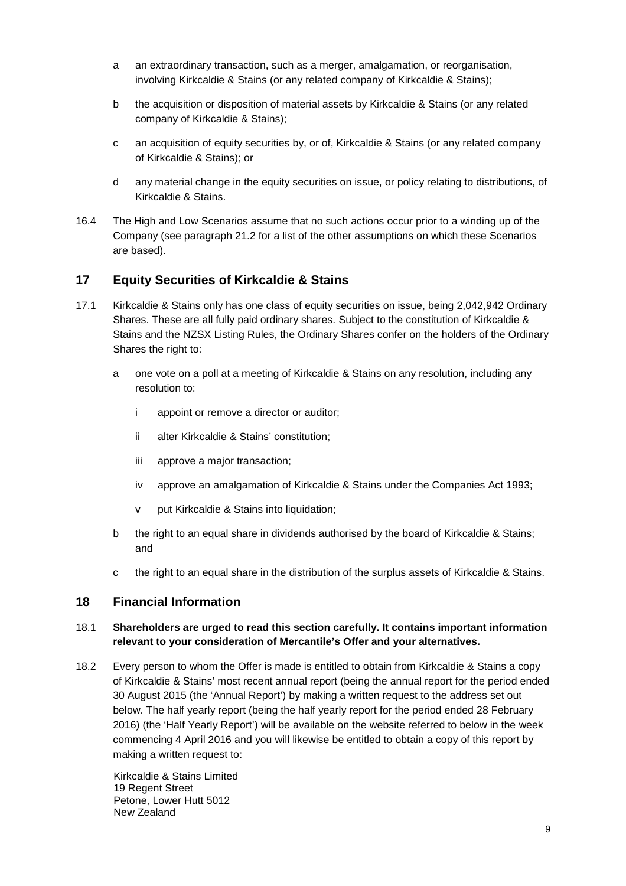- a an extraordinary transaction, such as a merger, amalgamation, or reorganisation, involving Kirkcaldie & Stains (or any related company of Kirkcaldie & Stains);
- b the acquisition or disposition of material assets by Kirkcaldie & Stains (or any related company of Kirkcaldie & Stains);
- c an acquisition of equity securities by, or of, Kirkcaldie & Stains (or any related company of Kirkcaldie & Stains); or
- d any material change in the equity securities on issue, or policy relating to distributions, of Kirkcaldie & Stains.
- 16.4 The High and Low Scenarios assume that no such actions occur prior to a winding up of the Company (see paragraph 21.2 for a list of the other assumptions on which these Scenarios are based).

# **17 Equity Securities of Kirkcaldie & Stains**

- 17.1 Kirkcaldie & Stains only has one class of equity securities on issue, being 2,042,942 Ordinary Shares. These are all fully paid ordinary shares. Subject to the constitution of Kirkcaldie & Stains and the NZSX Listing Rules, the Ordinary Shares confer on the holders of the Ordinary Shares the right to:
	- a one vote on a poll at a meeting of Kirkcaldie & Stains on any resolution, including any resolution to:
		- i appoint or remove a director or auditor;
		- ii alter Kirkcaldie & Stains' constitution;
		- iii approve a major transaction;
		- iv approve an amalgamation of Kirkcaldie & Stains under the Companies Act 1993;
		- v put Kirkcaldie & Stains into liquidation;
	- b the right to an equal share in dividends authorised by the board of Kirkcaldie & Stains; and
	- c the right to an equal share in the distribution of the surplus assets of Kirkcaldie & Stains.

### **18 Financial Information**

### 18.1 **Shareholders are urged to read this section carefully. It contains important information relevant to your consideration of Mercantile's Offer and your alternatives.**

18.2 Every person to whom the Offer is made is entitled to obtain from Kirkcaldie & Stains a copy of Kirkcaldie & Stains' most recent annual report (being the annual report for the period ended 30 August 2015 (the 'Annual Report') by making a written request to the address set out below. The half yearly report (being the half yearly report for the period ended 28 February 2016) (the 'Half Yearly Report') will be available on the website referred to below in the week commencing 4 April 2016 and you will likewise be entitled to obtain a copy of this report by making a written request to:

Kirkcaldie & Stains Limited 19 Regent Street Petone, Lower Hutt 5012 New Zealand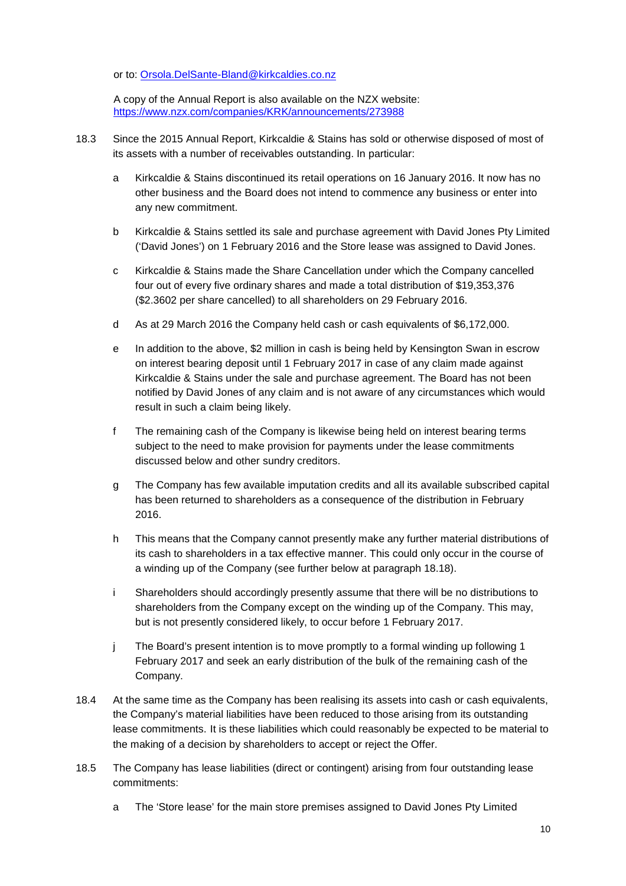or to: Orsola.DelSante-Bland@kirkcaldies.co.nz

A copy of the Annual Report is also available on the NZX website: https://www.nzx.com/companies/KRK/announcements/273988

- 18.3 Since the 2015 Annual Report, Kirkcaldie & Stains has sold or otherwise disposed of most of its assets with a number of receivables outstanding. In particular:
	- a Kirkcaldie & Stains discontinued its retail operations on 16 January 2016. It now has no other business and the Board does not intend to commence any business or enter into any new commitment.
	- b Kirkcaldie & Stains settled its sale and purchase agreement with David Jones Pty Limited ('David Jones') on 1 February 2016 and the Store lease was assigned to David Jones.
	- c Kirkcaldie & Stains made the Share Cancellation under which the Company cancelled four out of every five ordinary shares and made a total distribution of \$19,353,376 (\$2.3602 per share cancelled) to all shareholders on 29 February 2016.
	- d As at 29 March 2016 the Company held cash or cash equivalents of \$6,172,000.
	- e In addition to the above, \$2 million in cash is being held by Kensington Swan in escrow on interest bearing deposit until 1 February 2017 in case of any claim made against Kirkcaldie & Stains under the sale and purchase agreement. The Board has not been notified by David Jones of any claim and is not aware of any circumstances which would result in such a claim being likely.
	- f The remaining cash of the Company is likewise being held on interest bearing terms subject to the need to make provision for payments under the lease commitments discussed below and other sundry creditors.
	- g The Company has few available imputation credits and all its available subscribed capital has been returned to shareholders as a consequence of the distribution in February 2016.
	- h This means that the Company cannot presently make any further material distributions of its cash to shareholders in a tax effective manner. This could only occur in the course of a winding up of the Company (see further below at paragraph 18.18).
	- i Shareholders should accordingly presently assume that there will be no distributions to shareholders from the Company except on the winding up of the Company. This may, but is not presently considered likely, to occur before 1 February 2017.
	- j The Board's present intention is to move promptly to a formal winding up following 1 February 2017 and seek an early distribution of the bulk of the remaining cash of the Company.
- 18.4 At the same time as the Company has been realising its assets into cash or cash equivalents, the Company's material liabilities have been reduced to those arising from its outstanding lease commitments. It is these liabilities which could reasonably be expected to be material to the making of a decision by shareholders to accept or reject the Offer.
- 18.5 The Company has lease liabilities (direct or contingent) arising from four outstanding lease commitments:
	- a The 'Store lease' for the main store premises assigned to David Jones Pty Limited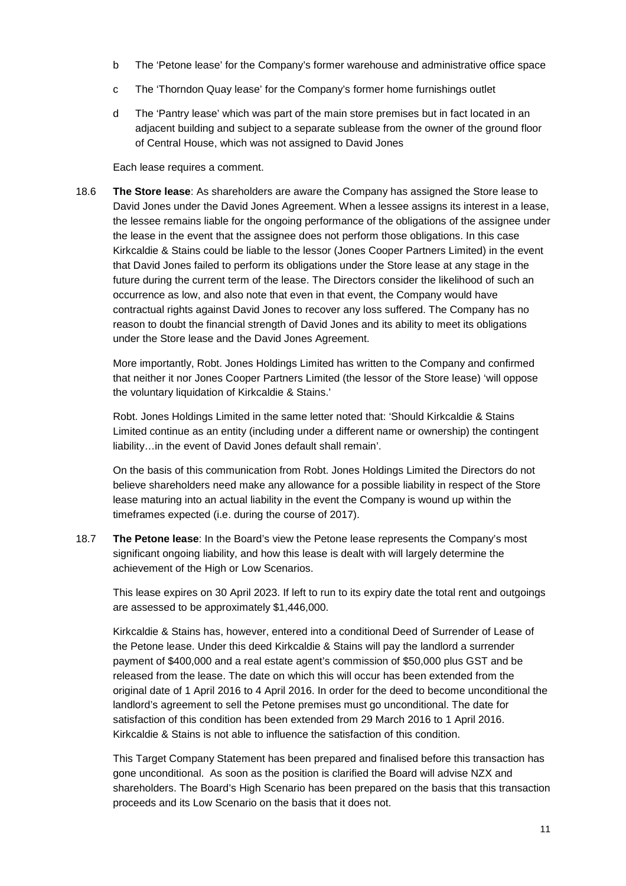- b The 'Petone lease' for the Company's former warehouse and administrative office space
- c The 'Thorndon Quay lease' for the Company's former home furnishings outlet
- d The 'Pantry lease' which was part of the main store premises but in fact located in an adjacent building and subject to a separate sublease from the owner of the ground floor of Central House, which was not assigned to David Jones

Each lease requires a comment.

18.6 **The Store lease**: As shareholders are aware the Company has assigned the Store lease to David Jones under the David Jones Agreement. When a lessee assigns its interest in a lease, the lessee remains liable for the ongoing performance of the obligations of the assignee under the lease in the event that the assignee does not perform those obligations. In this case Kirkcaldie & Stains could be liable to the lessor (Jones Cooper Partners Limited) in the event that David Jones failed to perform its obligations under the Store lease at any stage in the future during the current term of the lease. The Directors consider the likelihood of such an occurrence as low, and also note that even in that event, the Company would have contractual rights against David Jones to recover any loss suffered. The Company has no reason to doubt the financial strength of David Jones and its ability to meet its obligations under the Store lease and the David Jones Agreement.

More importantly, Robt. Jones Holdings Limited has written to the Company and confirmed that neither it nor Jones Cooper Partners Limited (the lessor of the Store lease) 'will oppose the voluntary liquidation of Kirkcaldie & Stains.'

Robt. Jones Holdings Limited in the same letter noted that: 'Should Kirkcaldie & Stains Limited continue as an entity (including under a different name or ownership) the contingent liability…in the event of David Jones default shall remain'.

On the basis of this communication from Robt. Jones Holdings Limited the Directors do not believe shareholders need make any allowance for a possible liability in respect of the Store lease maturing into an actual liability in the event the Company is wound up within the timeframes expected (i.e. during the course of 2017).

18.7 **The Petone lease**: In the Board's view the Petone lease represents the Company's most significant ongoing liability, and how this lease is dealt with will largely determine the achievement of the High or Low Scenarios.

This lease expires on 30 April 2023. If left to run to its expiry date the total rent and outgoings are assessed to be approximately \$1,446,000.

Kirkcaldie & Stains has, however, entered into a conditional Deed of Surrender of Lease of the Petone lease. Under this deed Kirkcaldie & Stains will pay the landlord a surrender payment of \$400,000 and a real estate agent's commission of \$50,000 plus GST and be released from the lease. The date on which this will occur has been extended from the original date of 1 April 2016 to 4 April 2016. In order for the deed to become unconditional the landlord's agreement to sell the Petone premises must go unconditional. The date for satisfaction of this condition has been extended from 29 March 2016 to 1 April 2016. Kirkcaldie & Stains is not able to influence the satisfaction of this condition.

This Target Company Statement has been prepared and finalised before this transaction has gone unconditional. As soon as the position is clarified the Board will advise NZX and shareholders. The Board's High Scenario has been prepared on the basis that this transaction proceeds and its Low Scenario on the basis that it does not.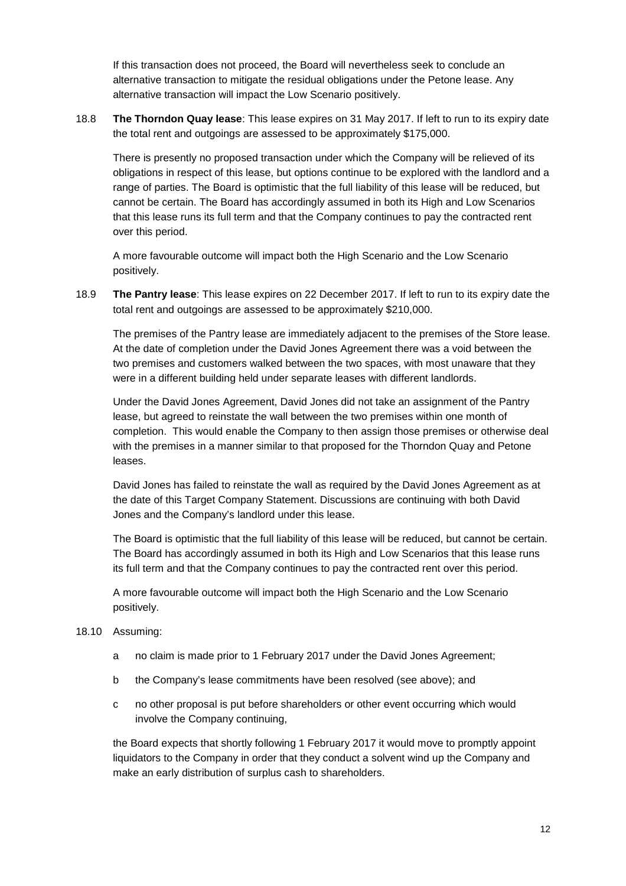If this transaction does not proceed, the Board will nevertheless seek to conclude an alternative transaction to mitigate the residual obligations under the Petone lease. Any alternative transaction will impact the Low Scenario positively.

18.8 **The Thorndon Quay lease**: This lease expires on 31 May 2017. If left to run to its expiry date the total rent and outgoings are assessed to be approximately \$175,000.

There is presently no proposed transaction under which the Company will be relieved of its obligations in respect of this lease, but options continue to be explored with the landlord and a range of parties. The Board is optimistic that the full liability of this lease will be reduced, but cannot be certain. The Board has accordingly assumed in both its High and Low Scenarios that this lease runs its full term and that the Company continues to pay the contracted rent over this period.

A more favourable outcome will impact both the High Scenario and the Low Scenario positively.

18.9 **The Pantry lease**: This lease expires on 22 December 2017. If left to run to its expiry date the total rent and outgoings are assessed to be approximately \$210,000.

The premises of the Pantry lease are immediately adjacent to the premises of the Store lease. At the date of completion under the David Jones Agreement there was a void between the two premises and customers walked between the two spaces, with most unaware that they were in a different building held under separate leases with different landlords.

Under the David Jones Agreement, David Jones did not take an assignment of the Pantry lease, but agreed to reinstate the wall between the two premises within one month of completion. This would enable the Company to then assign those premises or otherwise deal with the premises in a manner similar to that proposed for the Thorndon Quay and Petone leases.

David Jones has failed to reinstate the wall as required by the David Jones Agreement as at the date of this Target Company Statement. Discussions are continuing with both David Jones and the Company's landlord under this lease.

The Board is optimistic that the full liability of this lease will be reduced, but cannot be certain. The Board has accordingly assumed in both its High and Low Scenarios that this lease runs its full term and that the Company continues to pay the contracted rent over this period.

A more favourable outcome will impact both the High Scenario and the Low Scenario positively.

### 18.10 Assuming:

- a no claim is made prior to 1 February 2017 under the David Jones Agreement;
- b the Company's lease commitments have been resolved (see above); and
- c no other proposal is put before shareholders or other event occurring which would involve the Company continuing,

the Board expects that shortly following 1 February 2017 it would move to promptly appoint liquidators to the Company in order that they conduct a solvent wind up the Company and make an early distribution of surplus cash to shareholders.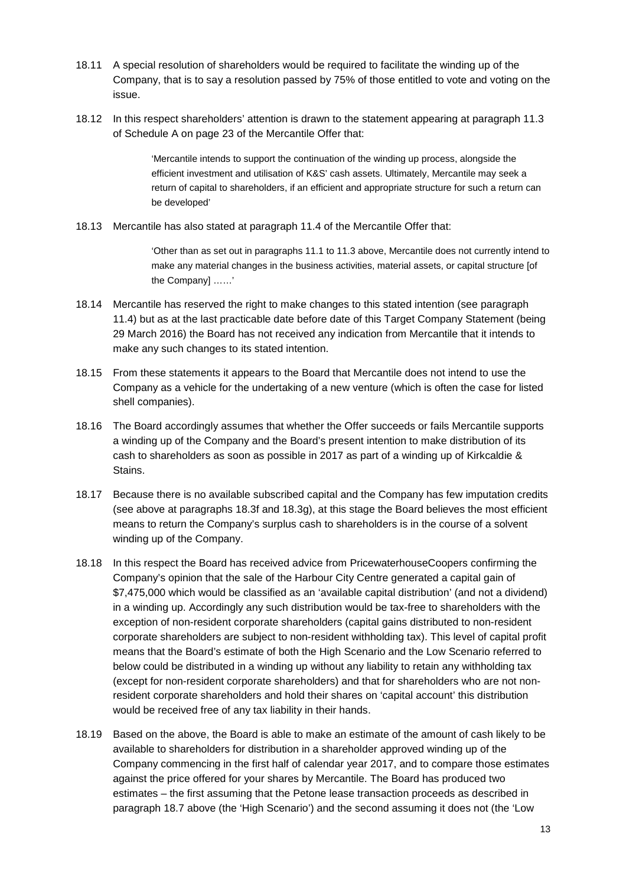- 18.11 A special resolution of shareholders would be required to facilitate the winding up of the Company, that is to say a resolution passed by 75% of those entitled to vote and voting on the issue.
- 18.12 In this respect shareholders' attention is drawn to the statement appearing at paragraph 11.3 of Schedule A on page 23 of the Mercantile Offer that:

'Mercantile intends to support the continuation of the winding up process, alongside the efficient investment and utilisation of K&S' cash assets. Ultimately, Mercantile may seek a return of capital to shareholders, if an efficient and appropriate structure for such a return can be developed'

18.13 Mercantile has also stated at paragraph 11.4 of the Mercantile Offer that:

'Other than as set out in paragraphs 11.1 to 11.3 above, Mercantile does not currently intend to make any material changes in the business activities, material assets, or capital structure [of the Company] ……'

- 18.14 Mercantile has reserved the right to make changes to this stated intention (see paragraph 11.4) but as at the last practicable date before date of this Target Company Statement (being 29 March 2016) the Board has not received any indication from Mercantile that it intends to make any such changes to its stated intention.
- 18.15 From these statements it appears to the Board that Mercantile does not intend to use the Company as a vehicle for the undertaking of a new venture (which is often the case for listed shell companies).
- 18.16 The Board accordingly assumes that whether the Offer succeeds or fails Mercantile supports a winding up of the Company and the Board's present intention to make distribution of its cash to shareholders as soon as possible in 2017 as part of a winding up of Kirkcaldie & Stains.
- 18.17 Because there is no available subscribed capital and the Company has few imputation credits (see above at paragraphs 18.3f and 18.3g), at this stage the Board believes the most efficient means to return the Company's surplus cash to shareholders is in the course of a solvent winding up of the Company.
- 18.18 In this respect the Board has received advice from PricewaterhouseCoopers confirming the Company's opinion that the sale of the Harbour City Centre generated a capital gain of \$7,475,000 which would be classified as an 'available capital distribution' (and not a dividend) in a winding up. Accordingly any such distribution would be tax-free to shareholders with the exception of non-resident corporate shareholders (capital gains distributed to non-resident corporate shareholders are subject to non-resident withholding tax). This level of capital profit means that the Board's estimate of both the High Scenario and the Low Scenario referred to below could be distributed in a winding up without any liability to retain any withholding tax (except for non-resident corporate shareholders) and that for shareholders who are not nonresident corporate shareholders and hold their shares on 'capital account' this distribution would be received free of any tax liability in their hands.
- 18.19 Based on the above, the Board is able to make an estimate of the amount of cash likely to be available to shareholders for distribution in a shareholder approved winding up of the Company commencing in the first half of calendar year 2017, and to compare those estimates against the price offered for your shares by Mercantile. The Board has produced two estimates – the first assuming that the Petone lease transaction proceeds as described in paragraph 18.7 above (the 'High Scenario') and the second assuming it does not (the 'Low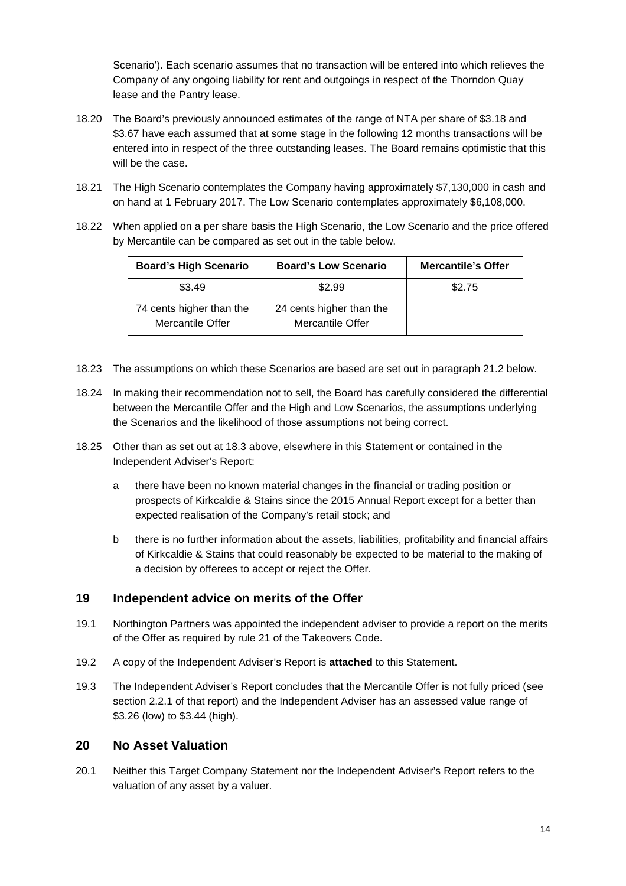Scenario'). Each scenario assumes that no transaction will be entered into which relieves the Company of any ongoing liability for rent and outgoings in respect of the Thorndon Quay lease and the Pantry lease.

- 18.20 The Board's previously announced estimates of the range of NTA per share of \$3.18 and \$3.67 have each assumed that at some stage in the following 12 months transactions will be entered into in respect of the three outstanding leases. The Board remains optimistic that this will be the case.
- 18.21 The High Scenario contemplates the Company having approximately \$7,130,000 in cash and on hand at 1 February 2017. The Low Scenario contemplates approximately \$6,108,000.
- 18.22 When applied on a per share basis the High Scenario, the Low Scenario and the price offered by Mercantile can be compared as set out in the table below.

| <b>Board's High Scenario</b>                 | <b>Board's Low Scenario</b>                  | <b>Mercantile's Offer</b> |
|----------------------------------------------|----------------------------------------------|---------------------------|
| \$3.49                                       | \$2.99                                       | \$2.75                    |
| 74 cents higher than the<br>Mercantile Offer | 24 cents higher than the<br>Mercantile Offer |                           |

- 18.23 The assumptions on which these Scenarios are based are set out in paragraph 21.2 below.
- 18.24 In making their recommendation not to sell, the Board has carefully considered the differential between the Mercantile Offer and the High and Low Scenarios, the assumptions underlying the Scenarios and the likelihood of those assumptions not being correct.
- 18.25 Other than as set out at 18.3 above, elsewhere in this Statement or contained in the Independent Adviser's Report:
	- a there have been no known material changes in the financial or trading position or prospects of Kirkcaldie & Stains since the 2015 Annual Report except for a better than expected realisation of the Company's retail stock; and
	- b there is no further information about the assets, liabilities, profitability and financial affairs of Kirkcaldie & Stains that could reasonably be expected to be material to the making of a decision by offerees to accept or reject the Offer.

### **19 Independent advice on merits of the Offer**

- 19.1 Northington Partners was appointed the independent adviser to provide a report on the merits of the Offer as required by rule 21 of the Takeovers Code.
- 19.2 A copy of the Independent Adviser's Report is **attached** to this Statement.
- 19.3 The Independent Adviser's Report concludes that the Mercantile Offer is not fully priced (see section 2.2.1 of that report) and the Independent Adviser has an assessed value range of \$3.26 (low) to \$3.44 (high).

### **20 No Asset Valuation**

20.1 Neither this Target Company Statement nor the Independent Adviser's Report refers to the valuation of any asset by a valuer.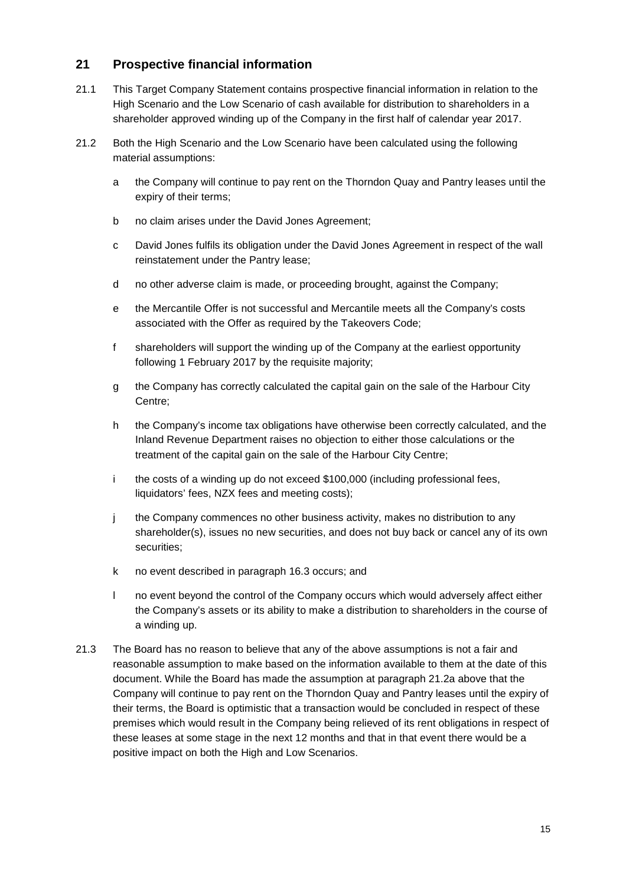# **21 Prospective financial information**

- 21.1 This Target Company Statement contains prospective financial information in relation to the High Scenario and the Low Scenario of cash available for distribution to shareholders in a shareholder approved winding up of the Company in the first half of calendar year 2017.
- 21.2 Both the High Scenario and the Low Scenario have been calculated using the following material assumptions:
	- a the Company will continue to pay rent on the Thorndon Quay and Pantry leases until the expiry of their terms;
	- b no claim arises under the David Jones Agreement;
	- c David Jones fulfils its obligation under the David Jones Agreement in respect of the wall reinstatement under the Pantry lease;
	- d no other adverse claim is made, or proceeding brought, against the Company;
	- e the Mercantile Offer is not successful and Mercantile meets all the Company's costs associated with the Offer as required by the Takeovers Code;
	- f shareholders will support the winding up of the Company at the earliest opportunity following 1 February 2017 by the requisite majority;
	- g the Company has correctly calculated the capital gain on the sale of the Harbour City Centre;
	- h the Company's income tax obligations have otherwise been correctly calculated, and the Inland Revenue Department raises no objection to either those calculations or the treatment of the capital gain on the sale of the Harbour City Centre;
	- i the costs of a winding up do not exceed \$100,000 (including professional fees, liquidators' fees, NZX fees and meeting costs);
	- j the Company commences no other business activity, makes no distribution to any shareholder(s), issues no new securities, and does not buy back or cancel any of its own securities;
	- k no event described in paragraph 16.3 occurs; and
	- l no event beyond the control of the Company occurs which would adversely affect either the Company's assets or its ability to make a distribution to shareholders in the course of a winding up.
- 21.3 The Board has no reason to believe that any of the above assumptions is not a fair and reasonable assumption to make based on the information available to them at the date of this document. While the Board has made the assumption at paragraph 21.2a above that the Company will continue to pay rent on the Thorndon Quay and Pantry leases until the expiry of their terms, the Board is optimistic that a transaction would be concluded in respect of these premises which would result in the Company being relieved of its rent obligations in respect of these leases at some stage in the next 12 months and that in that event there would be a positive impact on both the High and Low Scenarios.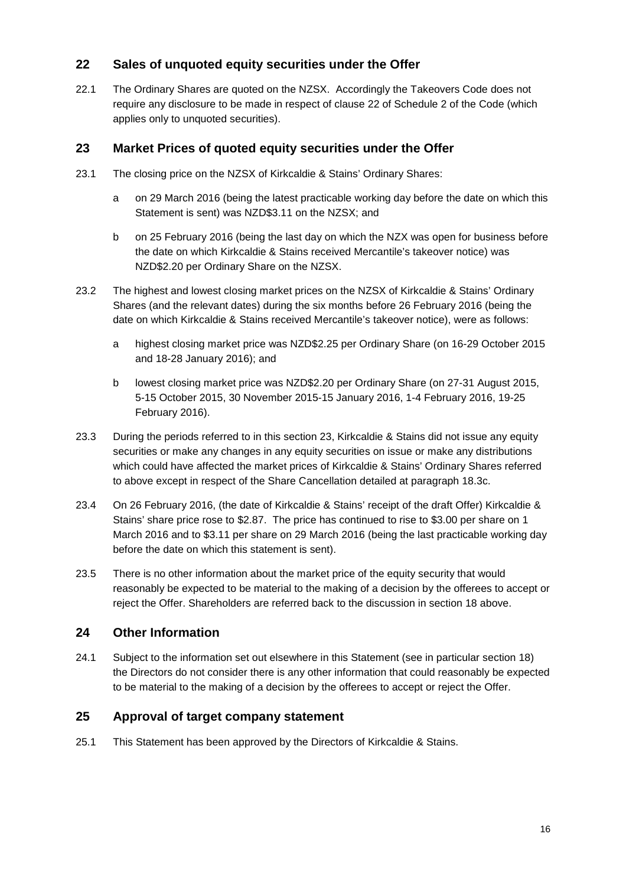# **22 Sales of unquoted equity securities under the Offer**

22.1 The Ordinary Shares are quoted on the NZSX. Accordingly the Takeovers Code does not require any disclosure to be made in respect of clause 22 of Schedule 2 of the Code (which applies only to unquoted securities).

### **23 Market Prices of quoted equity securities under the Offer**

- 23.1 The closing price on the NZSX of Kirkcaldie & Stains' Ordinary Shares:
	- a on 29 March 2016 (being the latest practicable working day before the date on which this Statement is sent) was NZD\$3.11 on the NZSX; and
	- b on 25 February 2016 (being the last day on which the NZX was open for business before the date on which Kirkcaldie & Stains received Mercantile's takeover notice) was NZD\$2.20 per Ordinary Share on the NZSX.
- 23.2 The highest and lowest closing market prices on the NZSX of Kirkcaldie & Stains' Ordinary Shares (and the relevant dates) during the six months before 26 February 2016 (being the date on which Kirkcaldie & Stains received Mercantile's takeover notice), were as follows:
	- a highest closing market price was NZD\$2.25 per Ordinary Share (on 16-29 October 2015 and 18-28 January 2016); and
	- b lowest closing market price was NZD\$2.20 per Ordinary Share (on 27-31 August 2015, 5-15 October 2015, 30 November 2015-15 January 2016, 1-4 February 2016, 19-25 February 2016).
- 23.3 During the periods referred to in this section 23, Kirkcaldie & Stains did not issue any equity securities or make any changes in any equity securities on issue or make any distributions which could have affected the market prices of Kirkcaldie & Stains' Ordinary Shares referred to above except in respect of the Share Cancellation detailed at paragraph 18.3c.
- 23.4 On 26 February 2016, (the date of Kirkcaldie & Stains' receipt of the draft Offer) Kirkcaldie & Stains' share price rose to \$2.87. The price has continued to rise to \$3.00 per share on 1 March 2016 and to \$3.11 per share on 29 March 2016 (being the last practicable working day before the date on which this statement is sent).
- 23.5 There is no other information about the market price of the equity security that would reasonably be expected to be material to the making of a decision by the offerees to accept or reject the Offer. Shareholders are referred back to the discussion in section 18 above.

### **24 Other Information**

24.1 Subject to the information set out elsewhere in this Statement (see in particular section 18) the Directors do not consider there is any other information that could reasonably be expected to be material to the making of a decision by the offerees to accept or reject the Offer.

# **25 Approval of target company statement**

25.1 This Statement has been approved by the Directors of Kirkcaldie & Stains.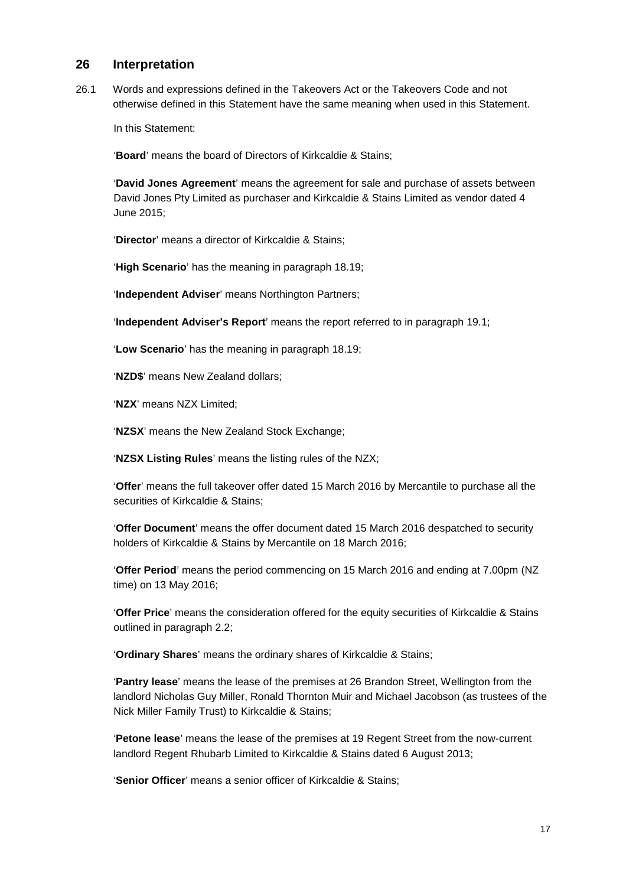### **26 Interpretation**

26.1 Words and expressions defined in the Takeovers Act or the Takeovers Code and not otherwise defined in this Statement have the same meaning when used in this Statement.

In this Statement:

'**Board**' means the board of Directors of Kirkcaldie & Stains;

'**David Jones Agreement**' means the agreement for sale and purchase of assets between David Jones Pty Limited as purchaser and Kirkcaldie & Stains Limited as vendor dated 4 June 2015;

'**Director**' means a director of Kirkcaldie & Stains;

'**High Scenario**' has the meaning in paragraph 18.19;

'**Independent Adviser**' means Northington Partners;

'**Independent Adviser's Report**' means the report referred to in paragraph 19.1;

'**Low Scenario**' has the meaning in paragraph 18.19;

'**NZD\$**' means New Zealand dollars;

'**NZX**' means NZX Limited;

'**NZSX**' means the New Zealand Stock Exchange;

'**NZSX Listing Rules**' means the listing rules of the NZX;

'**Offer**' means the full takeover offer dated 15 March 2016 by Mercantile to purchase all the securities of Kirkcaldie & Stains;

'**Offer Document**' means the offer document dated 15 March 2016 despatched to security holders of Kirkcaldie & Stains by Mercantile on 18 March 2016;

'**Offer Period**' means the period commencing on 15 March 2016 and ending at 7.00pm (NZ time) on 13 May 2016;

'**Offer Price**' means the consideration offered for the equity securities of Kirkcaldie & Stains outlined in paragraph 2.2;

'**Ordinary Shares**' means the ordinary shares of Kirkcaldie & Stains;

'**Pantry lease**' means the lease of the premises at 26 Brandon Street, Wellington from the landlord Nicholas Guy Miller, Ronald Thornton Muir and Michael Jacobson (as trustees of the Nick Miller Family Trust) to Kirkcaldie & Stains;

'**Petone lease**' means the lease of the premises at 19 Regent Street from the now-current landlord Regent Rhubarb Limited to Kirkcaldie & Stains dated 6 August 2013;

'**Senior Officer**' means a senior officer of Kirkcaldie & Stains;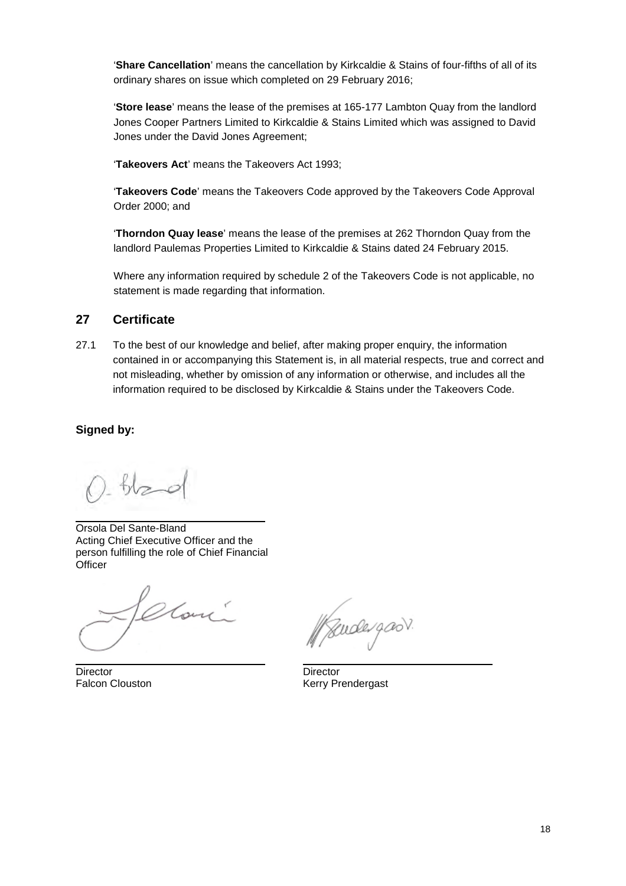'**Share Cancellation**' means the cancellation by Kirkcaldie & Stains of four-fifths of all of its ordinary shares on issue which completed on 29 February 2016;

'**Store lease**' means the lease of the premises at 165-177 Lambton Quay from the landlord Jones Cooper Partners Limited to Kirkcaldie & Stains Limited which was assigned to David Jones under the David Jones Agreement;

'**Takeovers Act**' means the Takeovers Act 1993;

'**Takeovers Code**' means the Takeovers Code approved by the Takeovers Code Approval Order 2000; and

'**Thorndon Quay lease**' means the lease of the premises at 262 Thorndon Quay from the landlord Paulemas Properties Limited to Kirkcaldie & Stains dated 24 February 2015.

Where any information required by schedule 2 of the Takeovers Code is not applicable, no statement is made regarding that information.

# **27 Certificate**

27.1 To the best of our knowledge and belief, after making proper enquiry, the information contained in or accompanying this Statement is, in all material respects, true and correct and not misleading, whether by omission of any information or otherwise, and includes all the information required to be disclosed by Kirkcaldie & Stains under the Takeovers Code.

### **Signed by:**

Orsola Del Sante-Bland Acting Chief Executive Officer and the person fulfilling the role of Chief Financial **Officer** 

Home

Director Director Director Director Palcon Clouston Nerry Pr

udergas

Kerry Prendergast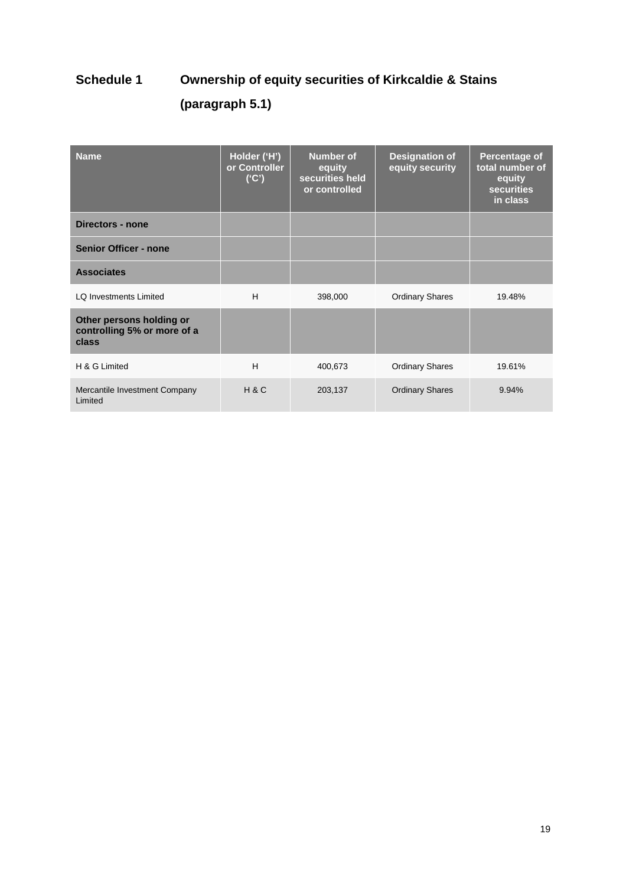# **Schedule 1 Ownership of equity securities of Kirkcaldie & Stains (paragraph 5.1)**

| <b>Name</b>                                                      | Holder ('H')<br>or Controller<br>('C') | Number of<br>equity<br>securities held<br>or controlled | <b>Designation of</b><br>equity security | Percentage of<br>total number of<br>equity<br><b>securities</b><br>in class |
|------------------------------------------------------------------|----------------------------------------|---------------------------------------------------------|------------------------------------------|-----------------------------------------------------------------------------|
| Directors - none                                                 |                                        |                                                         |                                          |                                                                             |
| <b>Senior Officer - none</b>                                     |                                        |                                                         |                                          |                                                                             |
| <b>Associates</b>                                                |                                        |                                                         |                                          |                                                                             |
| <b>LO Investments Limited</b>                                    | H                                      | 398,000                                                 | <b>Ordinary Shares</b>                   | 19.48%                                                                      |
| Other persons holding or<br>controlling 5% or more of a<br>class |                                        |                                                         |                                          |                                                                             |
| H & G Limited                                                    | H                                      | 400,673                                                 | <b>Ordinary Shares</b>                   | 19.61%                                                                      |
| Mercantile Investment Company<br>Limited                         | H & C                                  | 203,137                                                 | <b>Ordinary Shares</b>                   | 9.94%                                                                       |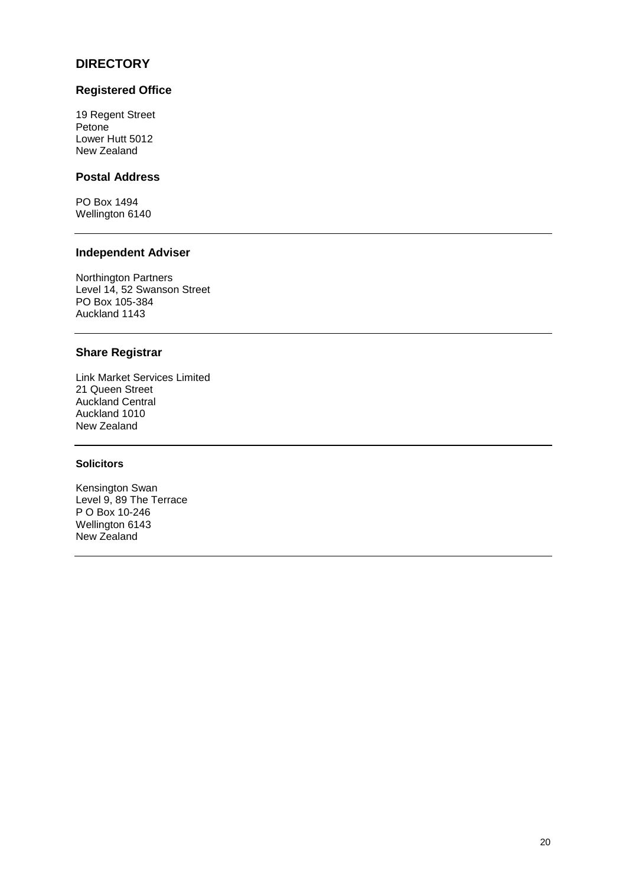# **DIRECTORY**

### **Registered Office**

19 Regent Street Petone Lower Hutt 5012 New Zealand

# **Postal Address**

PO Box 1494 Wellington 6140

### **Independent Adviser**

Northington Partners Level 14, 52 Swanson Street PO Box 105-384 Auckland 1143

### **Share Registrar**

Link Market Services Limited 21 Queen Street Auckland Central Auckland 1010 New Zealand

### **Solicitors**

Kensington Swan Level 9, 89 The Terrace P O Box 10-246 Wellington 6143 New Zealand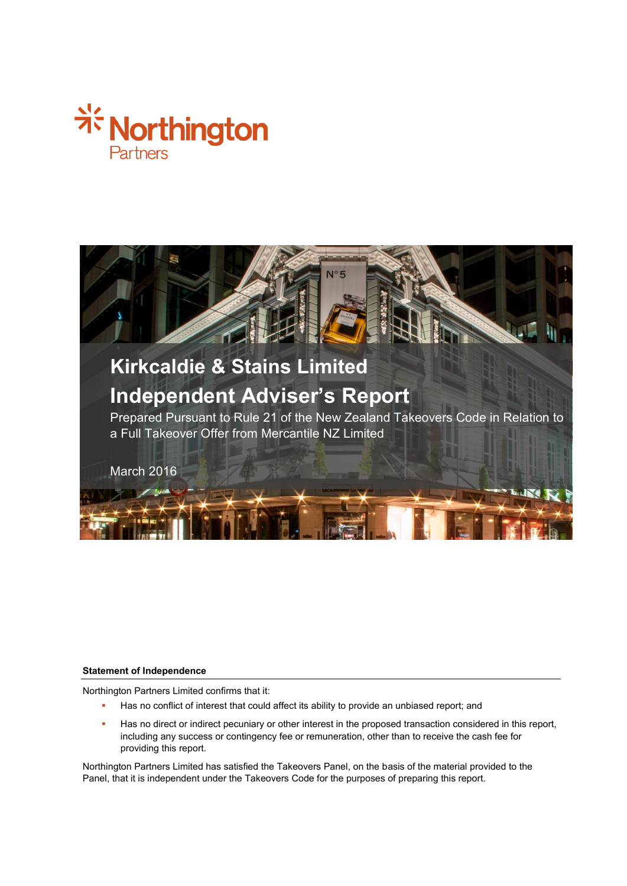



#### **Statement of Independence**

Northington Partners Limited confirms that it:

- Has no conflict of interest that could affect its ability to provide an unbiased report; and
- Has no direct or indirect pecuniary or other interest in the proposed transaction considered in this report, including any success or contingency fee or remuneration, other than to receive the cash fee for providing this report.

Northington Partners Limited has satisfied the Takeovers Panel, on the basis of the material provided to the Panel, that it is independent under the Takeovers Code for the purposes of preparing this report.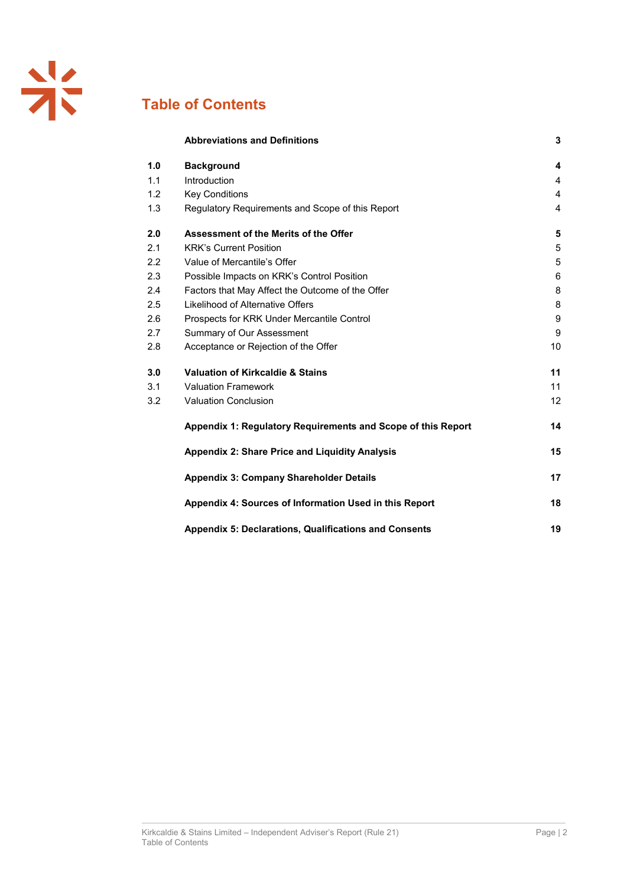# **Table of Contents**

|     | <b>Abbreviations and Definitions</b>                         | 3  |
|-----|--------------------------------------------------------------|----|
| 1.0 | <b>Background</b>                                            | 4  |
| 1.1 | Introduction                                                 | 4  |
| 1.2 | <b>Key Conditions</b>                                        | 4  |
| 1.3 | Regulatory Requirements and Scope of this Report             | 4  |
| 2.0 | Assessment of the Merits of the Offer                        | 5  |
| 2.1 | <b>KRK's Current Position</b>                                | 5  |
| 2.2 | Value of Mercantile's Offer                                  | 5  |
| 2.3 | Possible Impacts on KRK's Control Position                   | 6  |
| 2.4 | Factors that May Affect the Outcome of the Offer             | 8  |
| 2.5 | Likelihood of Alternative Offers                             | 8  |
| 2.6 | Prospects for KRK Under Mercantile Control                   | 9  |
| 2.7 | Summary of Our Assessment                                    | 9  |
| 2.8 | Acceptance or Rejection of the Offer                         | 10 |
| 3.0 | <b>Valuation of Kirkcaldie &amp; Stains</b>                  | 11 |
| 3.1 | <b>Valuation Framework</b>                                   | 11 |
| 3.2 | <b>Valuation Conclusion</b>                                  | 12 |
|     | Appendix 1: Regulatory Requirements and Scope of this Report | 14 |
|     | <b>Appendix 2: Share Price and Liquidity Analysis</b>        | 15 |
|     | <b>Appendix 3: Company Shareholder Details</b>               | 17 |
|     | Appendix 4: Sources of Information Used in this Report       | 18 |
|     | <b>Appendix 5: Declarations, Qualifications and Consents</b> | 19 |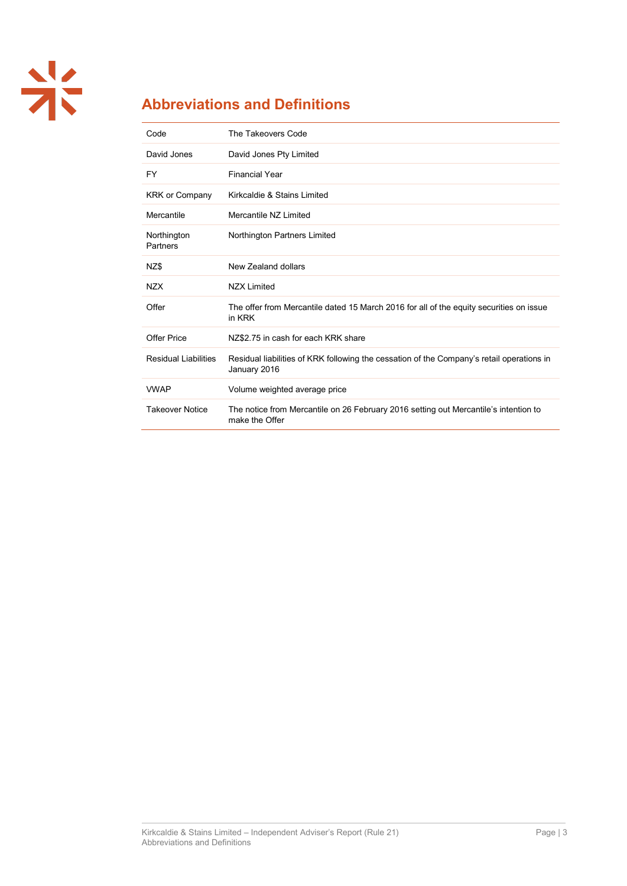

# **Abbreviations and Definitions**

| Code                        | The Takeovers Code                                                                                        |
|-----------------------------|-----------------------------------------------------------------------------------------------------------|
| David Jones                 | David Jones Pty Limited                                                                                   |
| FY                          | <b>Financial Year</b>                                                                                     |
| <b>KRK or Company</b>       | Kirkcaldie & Stains Limited                                                                               |
| Mercantile                  | Mercantile NZ Limited                                                                                     |
| Northington<br>Partners     | Northington Partners Limited                                                                              |
| NZ\$                        | New Zealand dollars                                                                                       |
| <b>NZX</b>                  | <b>NZX Limited</b>                                                                                        |
| Offer                       | The offer from Mercantile dated 15 March 2016 for all of the equity securities on issue<br>in KRK         |
| <b>Offer Price</b>          | NZ\$2.75 in cash for each KRK share                                                                       |
| <b>Residual Liabilities</b> | Residual liabilities of KRK following the cessation of the Company's retail operations in<br>January 2016 |
| <b>VWAP</b>                 | Volume weighted average price                                                                             |
| <b>Takeover Notice</b>      | The notice from Mercantile on 26 February 2016 setting out Mercantile's intention to<br>make the Offer    |
|                             |                                                                                                           |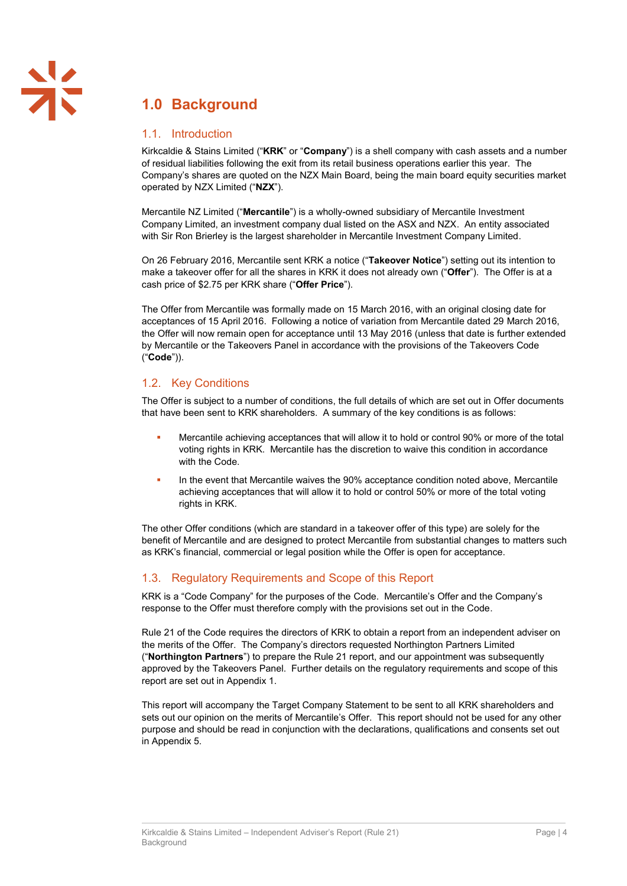# **1.0 Background**

### 1.1. Introduction

Kirkcaldie & Stains Limited ("**KRK**" or "**Company**") is a shell company with cash assets and a number of residual liabilities following the exit from its retail business operations earlier this year. The Company's shares are quoted on the NZX Main Board, being the main board equity securities market operated by NZX Limited ("**NZX**").

Mercantile NZ Limited ("**Mercantile**") is a wholly-owned subsidiary of Mercantile Investment Company Limited, an investment company dual listed on the ASX and NZX. An entity associated with Sir Ron Brierley is the largest shareholder in Mercantile Investment Company Limited.

On 26 February 2016, Mercantile sent KRK a notice ("**Takeover Notice**") setting out its intention to make a takeover offer for all the shares in KRK it does not already own ("**Offer**"). The Offer is at a cash price of \$2.75 per KRK share ("**Offer Price**").

The Offer from Mercantile was formally made on 15 March 2016, with an original closing date for acceptances of 15 April 2016. Following a notice of variation from Mercantile dated 29 March 2016, the Offer will now remain open for acceptance until 13 May 2016 (unless that date is further extended by Mercantile or the Takeovers Panel in accordance with the provisions of the Takeovers Code ("**Code**")).

# 1.2. Key Conditions

The Offer is subject to a number of conditions, the full details of which are set out in Offer documents that have been sent to KRK shareholders. A summary of the key conditions is as follows:

- Mercantile achieving acceptances that will allow it to hold or control 90% or more of the total voting rights in KRK. Mercantile has the discretion to waive this condition in accordance with the Code.
- In the event that Mercantile waives the 90% acceptance condition noted above, Mercantile achieving acceptances that will allow it to hold or control 50% or more of the total voting rights in KRK.

The other Offer conditions (which are standard in a takeover offer of this type) are solely for the benefit of Mercantile and are designed to protect Mercantile from substantial changes to matters such as KRK's financial, commercial or legal position while the Offer is open for acceptance.

### 1.3. Regulatory Requirements and Scope of this Report

KRK is a "Code Company" for the purposes of the Code. Mercantile's Offer and the Company's response to the Offer must therefore comply with the provisions set out in the Code.

Rule 21 of the Code requires the directors of KRK to obtain a report from an independent adviser on the merits of the Offer. The Company's directors requested Northington Partners Limited ("**Northington Partners**") to prepare the Rule 21 report, and our appointment was subsequently approved by the Takeovers Panel. Further details on the regulatory requirements and scope of this report are set out in Appendix 1.

This report will accompany the Target Company Statement to be sent to all KRK shareholders and sets out our opinion on the merits of Mercantile's Offer. This report should not be used for any other purpose and should be read in conjunction with the declarations, qualifications and consents set out in Appendix 5.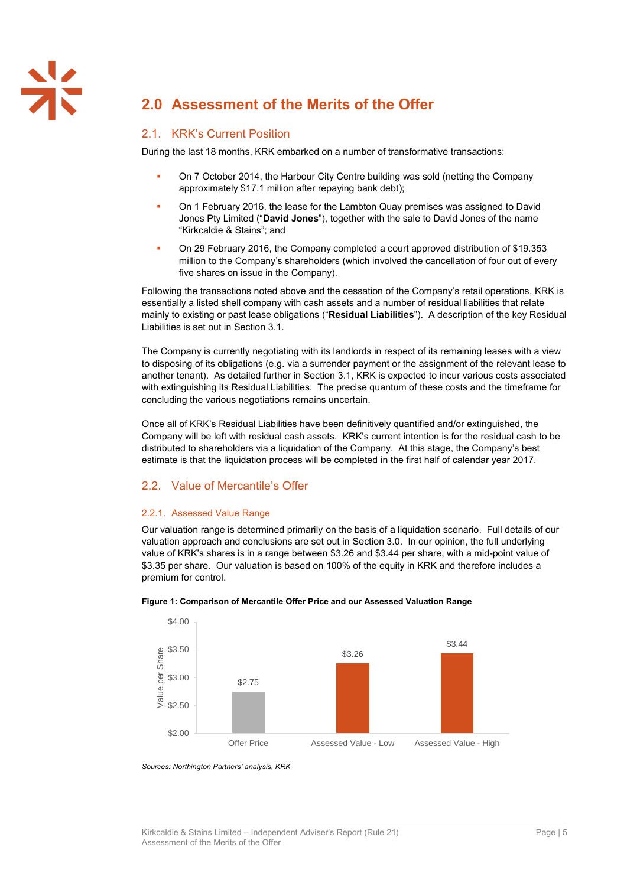# **2.0 Assessment of the Merits of the Offer**

### 2.1. KRK's Current Position

During the last 18 months, KRK embarked on a number of transformative transactions:

- On 7 October 2014, the Harbour City Centre building was sold (netting the Company approximately \$17.1 million after repaying bank debt);
- On 1 February 2016, the lease for the Lambton Quay premises was assigned to David Jones Pty Limited ("**David Jones**"), together with the sale to David Jones of the name "Kirkcaldie & Stains"; and
- On 29 February 2016, the Company completed a court approved distribution of \$19.353 million to the Company's shareholders (which involved the cancellation of four out of every five shares on issue in the Company).

Following the transactions noted above and the cessation of the Company's retail operations, KRK is essentially a listed shell company with cash assets and a number of residual liabilities that relate mainly to existing or past lease obligations ("**Residual Liabilities**"). A description of the key Residual Liabilities is set out in Section [3.1.](#page-30-0)

The Company is currently negotiating with its landlords in respect of its remaining leases with a view to disposing of its obligations (e.g. via a surrender payment or the assignment of the relevant lease to another tenant). As detailed further in Section [3.1,](#page-30-0) KRK is expected to incur various costs associated with extinguishing its Residual Liabilities. The precise quantum of these costs and the timeframe for concluding the various negotiations remains uncertain.

Once all of KRK's Residual Liabilities have been definitively quantified and/or extinguished, the Company will be left with residual cash assets. KRK's current intention is for the residual cash to be distributed to shareholders via a liquidation of the Company. At this stage, the Company's best estimate is that the liquidation process will be completed in the first half of calendar year 2017.

### 2.2. Value of Mercantile's Offer

#### 2.2.1. Assessed Value Range

Our valuation range is determined primarily on the basis of a liquidation scenario. Full details of our valuation approach and conclusions are set out in Section 3.0. In our opinion, the full underlying value of KRK's shares is in a range between \$3.26 and \$3.44 per share, with a mid-point value of \$3.35 per share. Our valuation is based on 100% of the equity in KRK and therefore includes a premium for control.



<span id="page-24-0"></span>

*Sources: Northington Partners' analysis, KRK*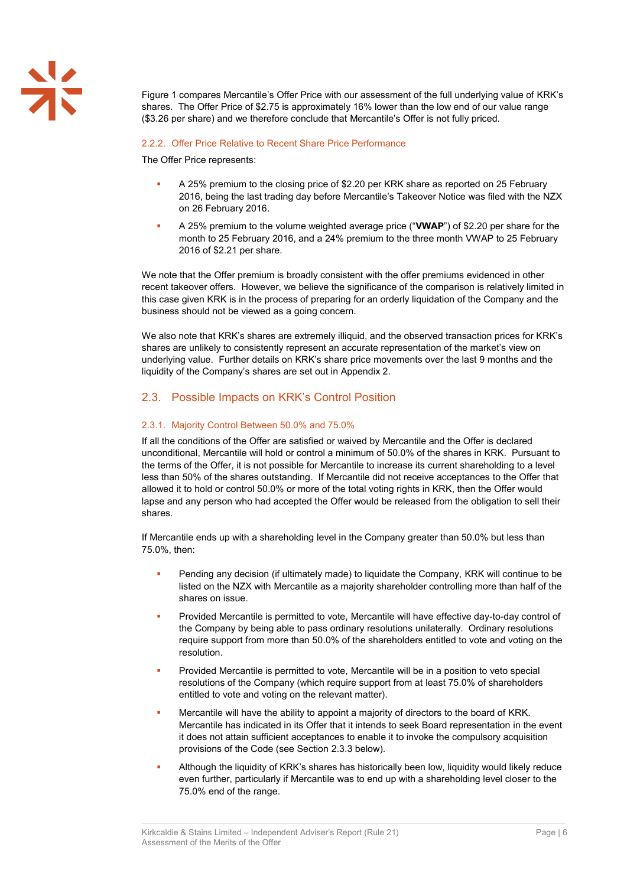[Figure 1](#page-24-0) compares Mercantile's Offer Price with our assessment of the full underlying value of KRK's shares. The Offer Price of \$2.75 is approximately 16% lower than the low end of our value range (\$3.26 per share) and we therefore conclude that Mercantile's Offer is not fully priced.

#### 2.2.2. Offer Price Relative to Recent Share Price Performance

The Offer Price represents:

- A 25% premium to the closing price of \$2.20 per KRK share as reported on 25 February 2016, being the last trading day before Mercantile's Takeover Notice was filed with the NZX on 26 February 2016.
- A 25% premium to the volume weighted average price ("**VWAP**") of \$2.20 per share for the month to 25 February 2016, and a 24% premium to the three month VWAP to 25 February 2016 of \$2.21 per share.

We note that the Offer premium is broadly consistent with the offer premiums evidenced in other recent takeover offers. However, we believe the significance of the comparison is relatively limited in this case given KRK is in the process of preparing for an orderly liquidation of the Company and the business should not be viewed as a going concern.

We also note that KRK's shares are extremely illiquid, and the observed transaction prices for KRK's shares are unlikely to consistently represent an accurate representation of the market's view on underlying value. Further details on KRK's share price movements over the last 9 months and the liquidity of the Company's shares are set out in Appendix 2.

### 2.3. Possible Impacts on KRK's Control Position

### 2.3.1. Majority Control Between 50.0% and 75.0%

If all the conditions of the Offer are satisfied or waived by Mercantile and the Offer is declared unconditional, Mercantile will hold or control a minimum of 50.0% of the shares in KRK. Pursuant to the terms of the Offer, it is not possible for Mercantile to increase its current shareholding to a level less than 50% of the shares outstanding. If Mercantile did not receive acceptances to the Offer that allowed it to hold or control 50.0% or more of the total voting rights in KRK, then the Offer would lapse and any person who had accepted the Offer would be released from the obligation to sell their shares.

If Mercantile ends up with a shareholding level in the Company greater than 50.0% but less than 75.0%, then:

- Pending any decision (if ultimately made) to liquidate the Company, KRK will continue to be listed on the NZX with Mercantile as a majority shareholder controlling more than half of the shares on issue.
- Provided Mercantile is permitted to vote, Mercantile will have effective day-to-day control of the Company by being able to pass ordinary resolutions unilaterally. Ordinary resolutions require support from more than 50.0% of the shareholders entitled to vote and voting on the resolution.
- Provided Mercantile is permitted to vote, Mercantile will be in a position to veto special resolutions of the Company (which require support from at least 75.0% of shareholders entitled to vote and voting on the relevant matter).
- Mercantile will have the ability to appoint a majority of directors to the board of KRK. Mercantile has indicated in its Offer that it intends to seek Board representation in the event it does not attain sufficient acceptances to enable it to invoke the compulsory acquisition provisions of the Code (see Sectio[n 2.3.3](#page-27-0) below).
- Although the liquidity of KRK's shares has historically been low, liquidity would likely reduce even further, particularly if Mercantile was to end up with a shareholding level closer to the 75.0% end of the range.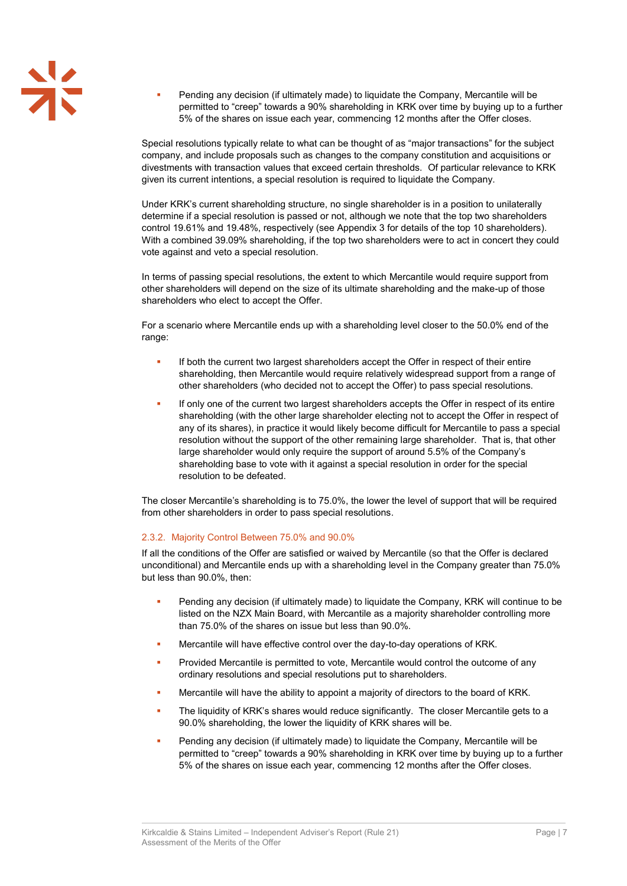Pending any decision (if ultimately made) to liquidate the Company, Mercantile will be permitted to "creep" towards a 90% shareholding in KRK over time by buying up to a further 5% of the shares on issue each year, commencing 12 months after the Offer closes.

Special resolutions typically relate to what can be thought of as "major transactions" for the subject company, and include proposals such as changes to the company constitution and acquisitions or divestments with transaction values that exceed certain thresholds. Of particular relevance to KRK given its current intentions, a special resolution is required to liquidate the Company.

Under KRK's current shareholding structure, no single shareholder is in a position to unilaterally determine if a special resolution is passed or not, although we note that the top two shareholders control 19.61% and 19.48%, respectively (see Appendix 3 for details of the top 10 shareholders). With a combined 39.09% shareholding, if the top two shareholders were to act in concert they could vote against and veto a special resolution.

In terms of passing special resolutions, the extent to which Mercantile would require support from other shareholders will depend on the size of its ultimate shareholding and the make-up of those shareholders who elect to accept the Offer.

For a scenario where Mercantile ends up with a shareholding level closer to the 50.0% end of the range:

- If both the current two largest shareholders accept the Offer in respect of their entire shareholding, then Mercantile would require relatively widespread support from a range of other shareholders (who decided not to accept the Offer) to pass special resolutions.
- If only one of the current two largest shareholders accepts the Offer in respect of its entire shareholding (with the other large shareholder electing not to accept the Offer in respect of any of its shares), in practice it would likely become difficult for Mercantile to pass a special resolution without the support of the other remaining large shareholder. That is, that other large shareholder would only require the support of around 5.5% of the Company's shareholding base to vote with it against a special resolution in order for the special resolution to be defeated.

The closer Mercantile's shareholding is to 75.0%, the lower the level of support that will be required from other shareholders in order to pass special resolutions.

### 2.3.2. Majority Control Between 75.0% and 90.0%

If all the conditions of the Offer are satisfied or waived by Mercantile (so that the Offer is declared unconditional) and Mercantile ends up with a shareholding level in the Company greater than 75.0% but less than 90.0%, then:

- Pending any decision (if ultimately made) to liquidate the Company, KRK will continue to be listed on the NZX Main Board, with Mercantile as a majority shareholder controlling more than 75.0% of the shares on issue but less than 90.0%.
- Mercantile will have effective control over the day-to-day operations of KRK.
- Provided Mercantile is permitted to vote, Mercantile would control the outcome of any ordinary resolutions and special resolutions put to shareholders.
- Mercantile will have the ability to appoint a majority of directors to the board of KRK.
- The liquidity of KRK's shares would reduce significantly. The closer Mercantile gets to a 90.0% shareholding, the lower the liquidity of KRK shares will be.
- Pending any decision (if ultimately made) to liquidate the Company, Mercantile will be permitted to "creep" towards a 90% shareholding in KRK over time by buying up to a further 5% of the shares on issue each year, commencing 12 months after the Offer closes.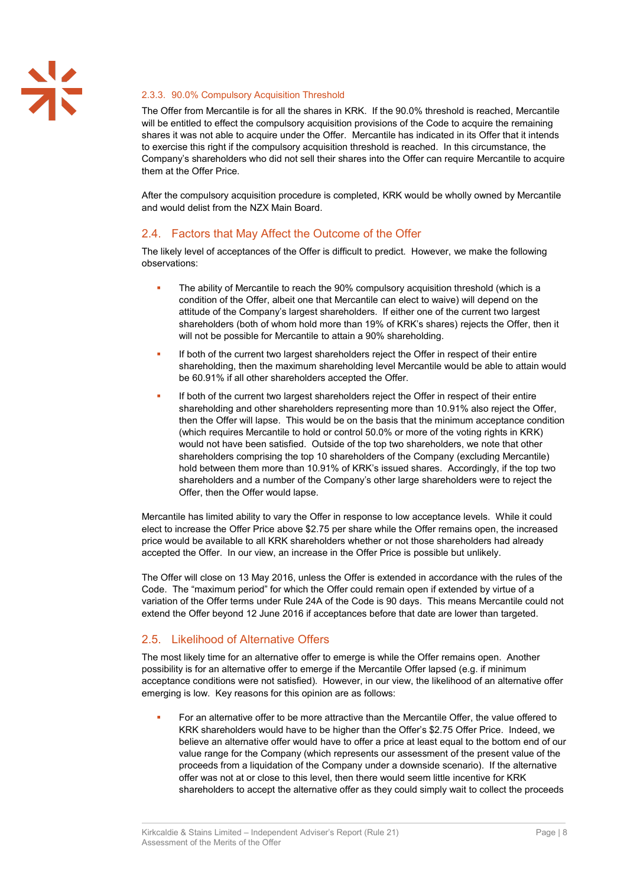### <span id="page-27-0"></span>2.3.3. 90.0% Compulsory Acquisition Threshold

The Offer from Mercantile is for all the shares in KRK. If the 90.0% threshold is reached, Mercantile will be entitled to effect the compulsory acquisition provisions of the Code to acquire the remaining shares it was not able to acquire under the Offer. Mercantile has indicated in its Offer that it intends to exercise this right if the compulsory acquisition threshold is reached. In this circumstance, the Company's shareholders who did not sell their shares into the Offer can require Mercantile to acquire them at the Offer Price.

After the compulsory acquisition procedure is completed, KRK would be wholly owned by Mercantile and would delist from the NZX Main Board.

### 2.4. Factors that May Affect the Outcome of the Offer

The likely level of acceptances of the Offer is difficult to predict. However, we make the following observations:

- The ability of Mercantile to reach the 90% compulsory acquisition threshold (which is a condition of the Offer, albeit one that Mercantile can elect to waive) will depend on the attitude of the Company's largest shareholders. If either one of the current two largest shareholders (both of whom hold more than 19% of KRK's shares) rejects the Offer, then it will not be possible for Mercantile to attain a 90% shareholding.
- If both of the current two largest shareholders reject the Offer in respect of their entire shareholding, then the maximum shareholding level Mercantile would be able to attain would be 60.91% if all other shareholders accepted the Offer.
- If both of the current two largest shareholders reject the Offer in respect of their entire shareholding and other shareholders representing more than 10.91% also reject the Offer, then the Offer will lapse. This would be on the basis that the minimum acceptance condition (which requires Mercantile to hold or control 50.0% or more of the voting rights in KRK) would not have been satisfied. Outside of the top two shareholders, we note that other shareholders comprising the top 10 shareholders of the Company (excluding Mercantile) hold between them more than 10.91% of KRK's issued shares. Accordingly, if the top two shareholders and a number of the Company's other large shareholders were to reject the Offer, then the Offer would lapse.

Mercantile has limited ability to vary the Offer in response to low acceptance levels. While it could elect to increase the Offer Price above \$2.75 per share while the Offer remains open, the increased price would be available to all KRK shareholders whether or not those shareholders had already accepted the Offer. In our view, an increase in the Offer Price is possible but unlikely.

The Offer will close on 13 May 2016, unless the Offer is extended in accordance with the rules of the Code. The "maximum period" for which the Offer could remain open if extended by virtue of a variation of the Offer terms under Rule 24A of the Code is 90 days. This means Mercantile could not extend the Offer beyond 12 June 2016 if acceptances before that date are lower than targeted.

### 2.5. Likelihood of Alternative Offers

The most likely time for an alternative offer to emerge is while the Offer remains open. Another possibility is for an alternative offer to emerge if the Mercantile Offer lapsed (e.g. if minimum acceptance conditions were not satisfied). However, in our view, the likelihood of an alternative offer emerging is low. Key reasons for this opinion are as follows:

 For an alternative offer to be more attractive than the Mercantile Offer, the value offered to KRK shareholders would have to be higher than the Offer's \$2.75 Offer Price. Indeed, we believe an alternative offer would have to offer a price at least equal to the bottom end of our value range for the Company (which represents our assessment of the present value of the proceeds from a liquidation of the Company under a downside scenario). If the alternative offer was not at or close to this level, then there would seem little incentive for KRK shareholders to accept the alternative offer as they could simply wait to collect the proceeds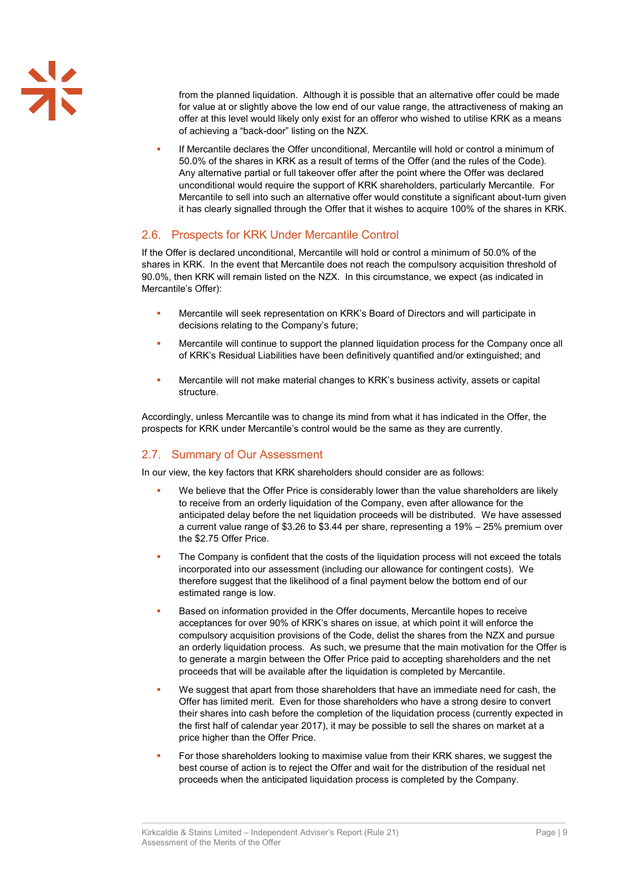from the planned liquidation. Although it is possible that an alternative offer could be made for value at or slightly above the low end of our value range, the attractiveness of making an offer at this level would likely only exist for an offeror who wished to utilise KRK as a means of achieving a "back-door" listing on the NZX.

 If Mercantile declares the Offer unconditional, Mercantile will hold or control a minimum of 50.0% of the shares in KRK as a result of terms of the Offer (and the rules of the Code). Any alternative partial or full takeover offer after the point where the Offer was declared unconditional would require the support of KRK shareholders, particularly Mercantile. For Mercantile to sell into such an alternative offer would constitute a significant about-turn given it has clearly signalled through the Offer that it wishes to acquire 100% of the shares in KRK.

### 2.6. Prospects for KRK Under Mercantile Control

If the Offer is declared unconditional, Mercantile will hold or control a minimum of 50.0% of the shares in KRK. In the event that Mercantile does not reach the compulsory acquisition threshold of 90.0%, then KRK will remain listed on the NZX. In this circumstance, we expect (as indicated in Mercantile's Offer):

- Mercantile will seek representation on KRK's Board of Directors and will participate in decisions relating to the Company's future;
- **Mercantile will continue to support the planned liquidation process for the Company once all** of KRK's Residual Liabilities have been definitively quantified and/or extinguished; and
- Mercantile will not make material changes to KRK's business activity, assets or capital structure.

Accordingly, unless Mercantile was to change its mind from what it has indicated in the Offer, the prospects for KRK under Mercantile's control would be the same as they are currently.

### 2.7. Summary of Our Assessment

In our view, the key factors that KRK shareholders should consider are as follows:

- We believe that the Offer Price is considerably lower than the value shareholders are likely to receive from an orderly liquidation of the Company, even after allowance for the anticipated delay before the net liquidation proceeds will be distributed. We have assessed a current value range of \$3.26 to \$3.44 per share, representing a 19% – 25% premium over the \$2.75 Offer Price.
- The Company is confident that the costs of the liquidation process will not exceed the totals incorporated into our assessment (including our allowance for contingent costs). We therefore suggest that the likelihood of a final payment below the bottom end of our estimated range is low.
- Based on information provided in the Offer documents, Mercantile hopes to receive acceptances for over 90% of KRK's shares on issue, at which point it will enforce the compulsory acquisition provisions of the Code, delist the shares from the NZX and pursue an orderly liquidation process. As such, we presume that the main motivation for the Offer is to generate a margin between the Offer Price paid to accepting shareholders and the net proceeds that will be available after the liquidation is completed by Mercantile.
- We suggest that apart from those shareholders that have an immediate need for cash, the Offer has limited merit. Even for those shareholders who have a strong desire to convert their shares into cash before the completion of the liquidation process (currently expected in the first half of calendar year 2017), it may be possible to sell the shares on market at a price higher than the Offer Price.
- For those shareholders looking to maximise value from their KRK shares, we suggest the best course of action is to reject the Offer and wait for the distribution of the residual net proceeds when the anticipated liquidation process is completed by the Company.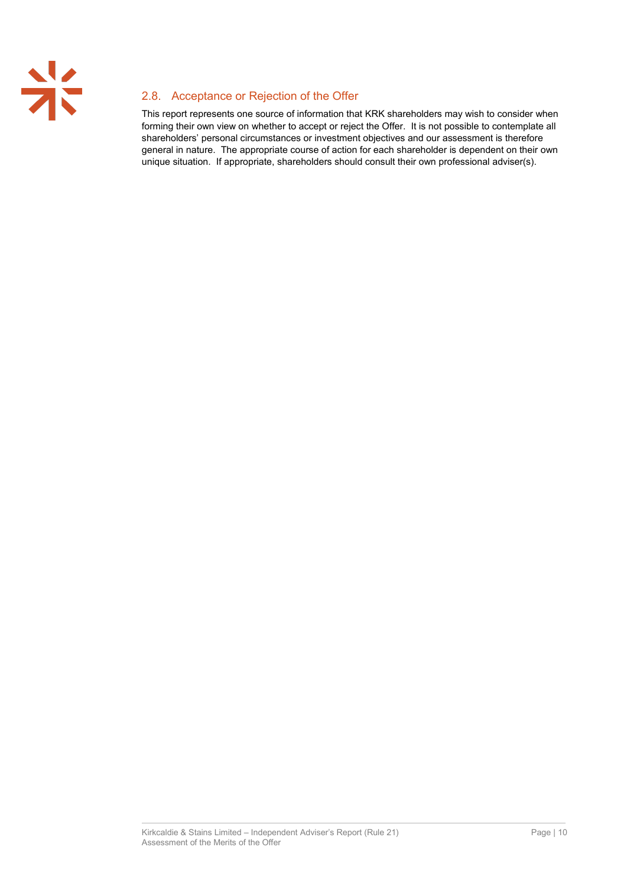

# 2.8. Acceptance or Rejection of the Offer

This report represents one source of information that KRK shareholders may wish to consider when forming their own view on whether to accept or reject the Offer. It is not possible to contemplate all shareholders' personal circumstances or investment objectives and our assessment is therefore general in nature. The appropriate course of action for each shareholder is dependent on their own unique situation. If appropriate, shareholders should consult their own professional adviser(s).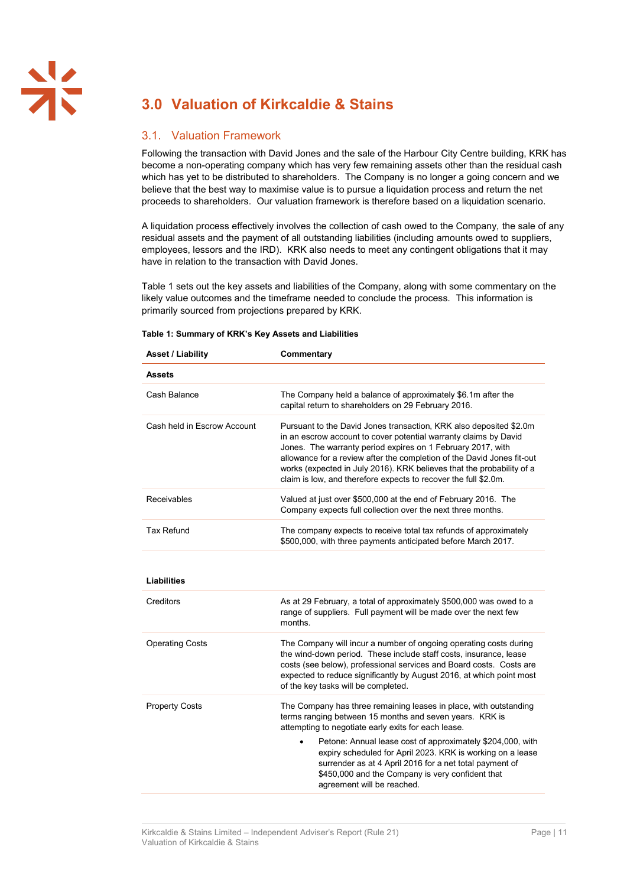# **3.0 Valuation of Kirkcaldie & Stains**

### <span id="page-30-0"></span>3.1. Valuation Framework

Following the transaction with David Jones and the sale of the Harbour City Centre building, KRK has become a non-operating company which has very few remaining assets other than the residual cash which has yet to be distributed to shareholders. The Company is no longer a going concern and we believe that the best way to maximise value is to pursue a liquidation process and return the net proceeds to shareholders. Our valuation framework is therefore based on a liquidation scenario.

A liquidation process effectively involves the collection of cash owed to the Company, the sale of any residual assets and the payment of all outstanding liabilities (including amounts owed to suppliers, employees, lessors and the IRD). KRK also needs to meet any contingent obligations that it may have in relation to the transaction with David Jones.

[Table 1](#page-30-1) sets out the key assets and liabilities of the Company, along with some commentary on the likely value outcomes and the timeframe needed to conclude the process. This information is primarily sourced from projections prepared by KRK.

| <b>Asset / Liability</b>    | Commentary                                                                                                                                                                                                                                                                                                                                                                                                                  |
|-----------------------------|-----------------------------------------------------------------------------------------------------------------------------------------------------------------------------------------------------------------------------------------------------------------------------------------------------------------------------------------------------------------------------------------------------------------------------|
| <b>Assets</b>               |                                                                                                                                                                                                                                                                                                                                                                                                                             |
| Cash Balance                | The Company held a balance of approximately \$6.1m after the<br>capital return to shareholders on 29 February 2016.                                                                                                                                                                                                                                                                                                         |
| Cash held in Escrow Account | Pursuant to the David Jones transaction, KRK also deposited \$2.0m<br>in an escrow account to cover potential warranty claims by David<br>Jones. The warranty period expires on 1 February 2017, with<br>allowance for a review after the completion of the David Jones fit-out<br>works (expected in July 2016). KRK believes that the probability of a<br>claim is low, and therefore expects to recover the full \$2.0m. |
| Receivables                 | Valued at just over \$500,000 at the end of February 2016. The<br>Company expects full collection over the next three months.                                                                                                                                                                                                                                                                                               |
| <b>Tax Refund</b>           | The company expects to receive total tax refunds of approximately<br>\$500,000, with three payments anticipated before March 2017.                                                                                                                                                                                                                                                                                          |
| <b>Liabilities</b>          |                                                                                                                                                                                                                                                                                                                                                                                                                             |
| Creditors                   | As at 29 February, a total of approximately \$500,000 was owed to a<br>range of suppliers. Full payment will be made over the next few<br>months.                                                                                                                                                                                                                                                                           |
| <b>Operating Costs</b>      | The Company will incur a number of ongoing operating costs during<br>the wind-down period. These include staff costs, insurance, lease<br>costs (see below), professional services and Board costs. Costs are<br>expected to reduce significantly by August 2016, at which point most<br>of the key tasks will be completed.                                                                                                |
| <b>Property Costs</b>       | The Company has three remaining leases in place, with outstanding<br>terms ranging between 15 months and seven years. KRK is<br>attempting to negotiate early exits for each lease.                                                                                                                                                                                                                                         |
|                             | Petone: Annual lease cost of approximately \$204,000, with<br>expiry scheduled for April 2023. KRK is working on a lease<br>surrender as at 4 April 2016 for a net total payment of<br>\$450,000 and the Company is very confident that<br>agreement will be reached.                                                                                                                                                       |

#### <span id="page-30-1"></span>**Table 1: Summary of KRK's Key Assets and Liabilities**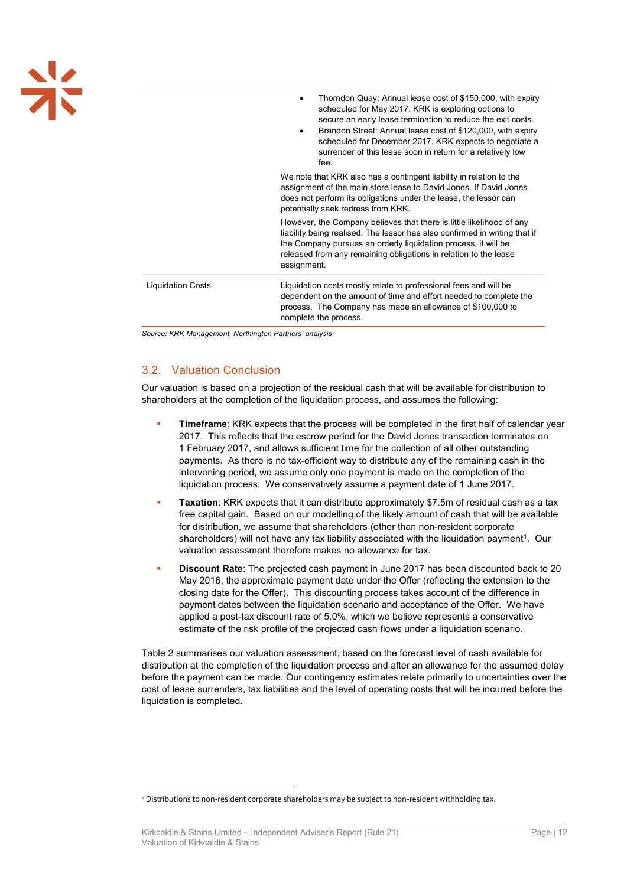| <b>メ</b> |                          | Thorndon Quay: Annual lease cost of \$150,000, with expiry<br>$\bullet$<br>scheduled for May 2017. KRK is exploring options to<br>secure an early lease termination to reduce the exit costs.<br>Brandon Street: Annual lease cost of \$120,000, with expiry<br>٠<br>scheduled for December 2017. KRK expects to negotiate a<br>surrender of this lease soon in return for a relatively low<br>fee. |
|----------|--------------------------|-----------------------------------------------------------------------------------------------------------------------------------------------------------------------------------------------------------------------------------------------------------------------------------------------------------------------------------------------------------------------------------------------------|
|          |                          | We note that KRK also has a contingent liability in relation to the<br>assignment of the main store lease to David Jones. If David Jones<br>does not perform its obligations under the lease, the lessor can<br>potentially seek redress from KRK.                                                                                                                                                  |
|          |                          | However, the Company believes that there is little likelihood of any<br>liability being realised. The lessor has also confirmed in writing that if<br>the Company pursues an orderly liquidation process, it will be<br>released from any remaining obligations in relation to the lease<br>assignment.                                                                                             |
|          | <b>Liquidation Costs</b> | Liquidation costs mostly relate to professional fees and will be<br>dependent on the amount of time and effort needed to complete the<br>process. The Company has made an allowance of \$100,000 to                                                                                                                                                                                                 |

*Source: KRK Management, Northington Partners' analysis*

### 3.2. Valuation Conclusion

Our valuation is based on a projection of the residual cash that will be available for distribution to shareholders at the completion of the liquidation process, and assumes the following:

complete the process.

- **Timeframe**: KRK expects that the process will be completed in the first half of calendar year 2017. This reflects that the escrow period for the David Jones transaction terminates on 1 February 2017, and allows sufficient time for the collection of all other outstanding payments. As there is no tax-efficient way to distribute any of the remaining cash in the intervening period, we assume only one payment is made on the completion of the liquidation process. We conservatively assume a payment date of 1 June 2017.
- **Taxation**: KRK expects that it can distribute approximately \$7.5m of residual cash as a tax free capital gain. Based on our modelling of the likely amount of cash that will be available for distribution, we assume that shareholders (other than non-resident corporate shareholders) will not have any tax liability associated with the liquidation payment<sup>1</sup>. Our valuation assessment therefore makes no allowance for tax.
- **Discount Rate**: The projected cash payment in June 2017 has been discounted back to 20 May 2016, the approximate payment date under the Offer (reflecting the extension to the closing date for the Offer). This discounting process takes account of the difference in payment dates between the liquidation scenario and acceptance of the Offer. We have applied a post-tax discount rate of 5.0%, which we believe represents a conservative estimate of the risk profile of the projected cash flows under a liquidation scenario.

Table 2 summarises our valuation assessment, based on the forecast level of cash available for distribution at the completion of the liquidation process and after an allowance for the assumed delay before the payment can be made. Our contingency estimates relate primarily to uncertainties over the cost of lease surrenders, tax liabilities and the level of operating costs that will be incurred before the liquidation is completed.

 $\overline{a}$ 

<sup>&</sup>lt;sup>1</sup> Distributions to non-resident corporate shareholders may be subject to non-resident withholding tax.

Kirkcaldie & Stains Limited – Independent Adviser's Report (Rule 21) Page | 12 Valuation of Kirkcaldie & Stains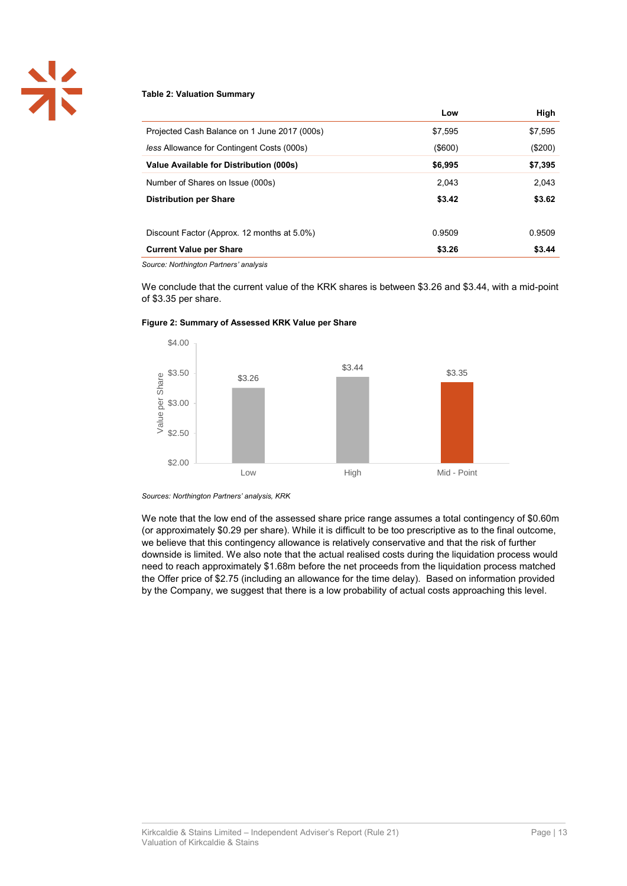

#### **Table 2: Valuation Summary**

|                                                   | Low           | High    |
|---------------------------------------------------|---------------|---------|
| Projected Cash Balance on 1 June 2017 (000s)      | \$7,595       | \$7,595 |
| <i>less Allowance for Contingent Costs (000s)</i> | $($ \$600 $)$ | (\$200) |
| Value Available for Distribution (000s)           | \$6,995       | \$7,395 |
| Number of Shares on Issue (000s)                  | 2.043         | 2,043   |
| <b>Distribution per Share</b>                     | \$3.42        | \$3.62  |
|                                                   |               |         |
| Discount Factor (Approx. 12 months at 5.0%)       | 0.9509        | 0.9509  |
| <b>Current Value per Share</b>                    | \$3.26        | \$3.44  |

*Source: Northington Partners' analysis*

We conclude that the current value of the KRK shares is between \$3.26 and \$3.44, with a mid-point of \$3.35 per share.



#### **Figure 2: Summary of Assessed KRK Value per Share**

*Sources: Northington Partners' analysis, KRK*

We note that the low end of the assessed share price range assumes a total contingency of \$0.60m (or approximately \$0.29 per share). While it is difficult to be too prescriptive as to the final outcome, we believe that this contingency allowance is relatively conservative and that the risk of further downside is limited. We also note that the actual realised costs during the liquidation process would need to reach approximately \$1.68m before the net proceeds from the liquidation process matched the Offer price of \$2.75 (including an allowance for the time delay). Based on information provided by the Company, we suggest that there is a low probability of actual costs approaching this level.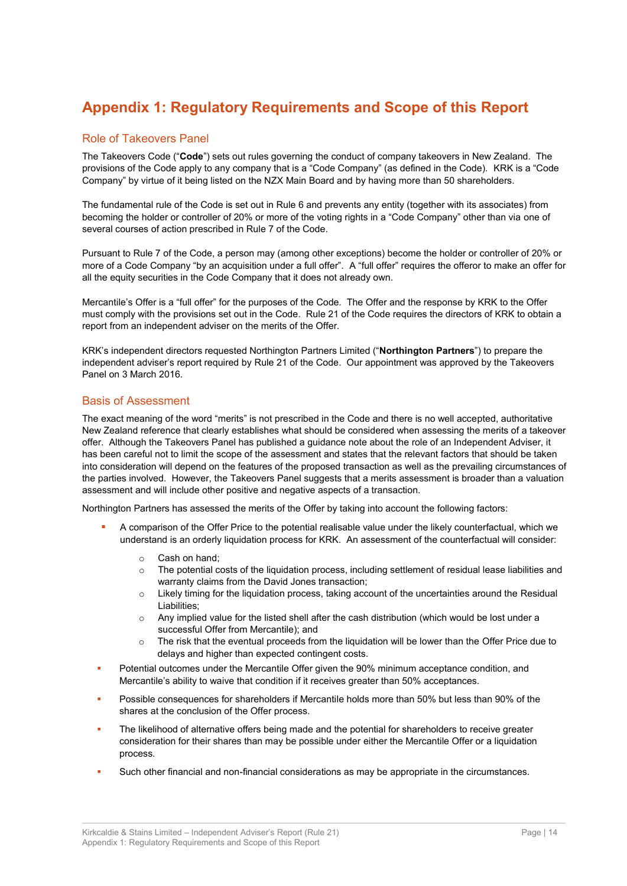# **Appendix 1: Regulatory Requirements and Scope of this Report**

### Role of Takeovers Panel

The Takeovers Code ("**Code**") sets out rules governing the conduct of company takeovers in New Zealand. The provisions of the Code apply to any company that is a "Code Company" (as defined in the Code). KRK is a "Code Company" by virtue of it being listed on the NZX Main Board and by having more than 50 shareholders.

The fundamental rule of the Code is set out in Rule 6 and prevents any entity (together with its associates) from becoming the holder or controller of 20% or more of the voting rights in a "Code Company" other than via one of several courses of action prescribed in Rule 7 of the Code.

Pursuant to Rule 7 of the Code, a person may (among other exceptions) become the holder or controller of 20% or more of a Code Company "by an acquisition under a full offer". A "full offer" requires the offeror to make an offer for all the equity securities in the Code Company that it does not already own.

Mercantile's Offer is a "full offer" for the purposes of the Code. The Offer and the response by KRK to the Offer must comply with the provisions set out in the Code. Rule 21 of the Code requires the directors of KRK to obtain a report from an independent adviser on the merits of the Offer.

KRK's independent directors requested Northington Partners Limited ("**Northington Partners**") to prepare the independent adviser's report required by Rule 21 of the Code. Our appointment was approved by the Takeovers Panel on 3 March 2016.

### Basis of Assessment

The exact meaning of the word "merits" is not prescribed in the Code and there is no well accepted, authoritative New Zealand reference that clearly establishes what should be considered when assessing the merits of a takeover offer. Although the Takeovers Panel has published a guidance note about the role of an Independent Adviser, it has been careful not to limit the scope of the assessment and states that the relevant factors that should be taken into consideration will depend on the features of the proposed transaction as well as the prevailing circumstances of the parties involved. However, the Takeovers Panel suggests that a merits assessment is broader than a valuation assessment and will include other positive and negative aspects of a transaction.

Northington Partners has assessed the merits of the Offer by taking into account the following factors:

- A comparison of the Offer Price to the potential realisable value under the likely counterfactual, which we understand is an orderly liquidation process for KRK. An assessment of the counterfactual will consider:
	- o Cash on hand;
	- o The potential costs of the liquidation process, including settlement of residual lease liabilities and warranty claims from the David Jones transaction;
	- $\circ$  Likely timing for the liquidation process, taking account of the uncertainties around the Residual Liabilities;
	- $\circ$  Any implied value for the listed shell after the cash distribution (which would be lost under a successful Offer from Mercantile); and
	- o The risk that the eventual proceeds from the liquidation will be lower than the Offer Price due to delays and higher than expected contingent costs.
- Potential outcomes under the Mercantile Offer given the 90% minimum acceptance condition, and Mercantile's ability to waive that condition if it receives greater than 50% acceptances.
- Possible consequences for shareholders if Mercantile holds more than 50% but less than 90% of the shares at the conclusion of the Offer process.
- The likelihood of alternative offers being made and the potential for shareholders to receive greater consideration for their shares than may be possible under either the Mercantile Offer or a liquidation process.
- Such other financial and non-financial considerations as may be appropriate in the circumstances.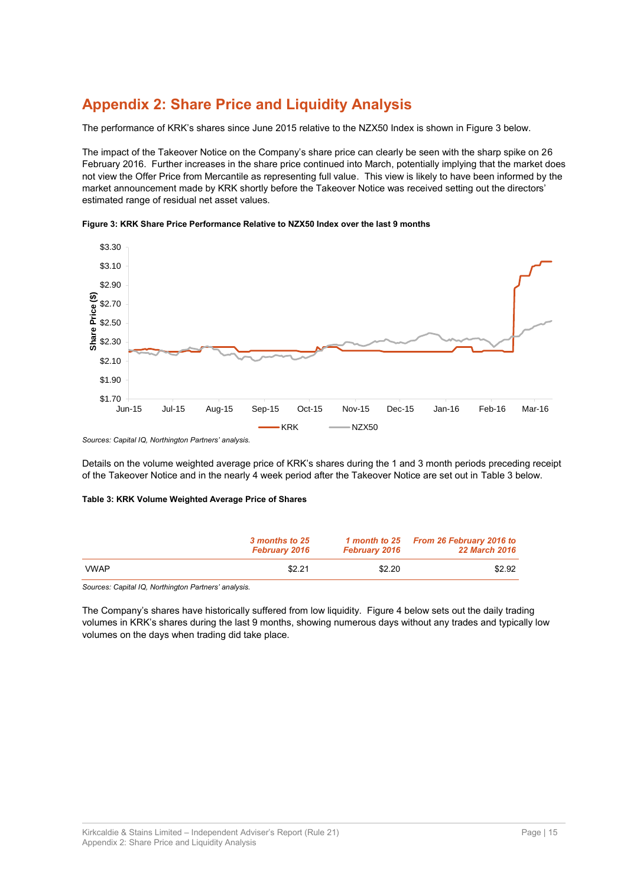# **Appendix 2: Share Price and Liquidity Analysis**

The performance of KRK's shares since June 2015 relative to the NZX50 Index is shown i[n Figure 3](#page-34-0) below.

The impact of the Takeover Notice on the Company's share price can clearly be seen with the sharp spike on 26 February 2016. Further increases in the share price continued into March, potentially implying that the market does not view the Offer Price from Mercantile as representing full value. This view is likely to have been informed by the market announcement made by KRK shortly before the Takeover Notice was received setting out the directors' estimated range of residual net asset values.

<span id="page-34-0"></span>**Figure 3: KRK Share Price Performance Relative to NZX50 Index over the last 9 months**



*Sources: Capital IQ, Northington Partners' analysis.*

Details on the volume weighted average price of KRK's shares during the 1 and 3 month periods preceding receipt of the Takeover Notice and in the nearly 4 week period after the Takeover Notice are set out in [Table 3](#page-34-1) below.

#### <span id="page-34-1"></span>**Table 3: KRK Volume Weighted Average Price of Shares**

|             | 3 months to 25<br><b>February 2016</b> | <b>February 2016</b> | 1 month to 25 From 26 February 2016 to<br><b>22 March 2016</b> |
|-------------|----------------------------------------|----------------------|----------------------------------------------------------------|
| <b>VWAP</b> | \$2.21                                 | \$2.20               | \$2.92                                                         |

*Sources: Capital IQ, Northington Partners' analysis.*

The Company's shares have historically suffered from low liquidity. [Figure 4](#page-35-0) below sets out the daily trading volumes in KRK's shares during the last 9 months, showing numerous days without any trades and typically low volumes on the days when trading did take place.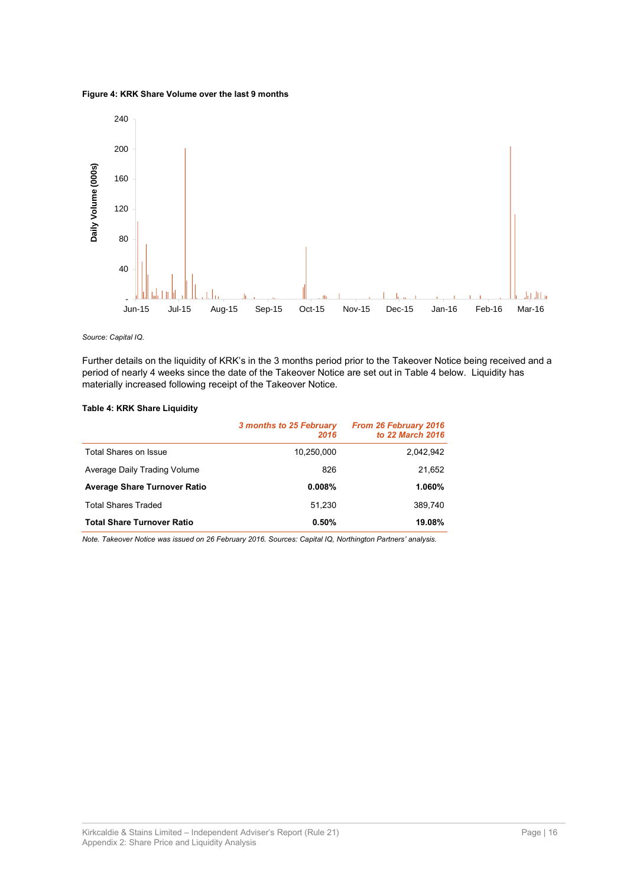<span id="page-35-0"></span>**Figure 4: KRK Share Volume over the last 9 months** 



*Source: Capital IQ.*

Further details on the liquidity of KRK's in the 3 months period prior to the Takeover Notice being received and a period of nearly 4 weeks since the date of the Takeover Notice are set out in [Table 4](#page-35-1) below. Liquidity has materially increased following receipt of the Takeover Notice.

### <span id="page-35-1"></span>**Table 4: KRK Share Liquidity**

|                                     | 3 months to 25 February<br>2016 | <b>From 26 February 2016</b><br>to 22 March 2016 |
|-------------------------------------|---------------------------------|--------------------------------------------------|
| Total Shares on Issue               | 10,250,000                      | 2.042.942                                        |
| Average Daily Trading Volume        | 826                             | 21,652                                           |
| <b>Average Share Turnover Ratio</b> | 0.008%                          | 1.060%                                           |
| <b>Total Shares Traded</b>          | 51.230                          | 389.740                                          |
| <b>Total Share Turnover Ratio</b>   | 0.50%                           | 19.08%                                           |

*Note. Takeover Notice was issued on 26 February 2016. Sources: Capital IQ, Northington Partners' analysis.*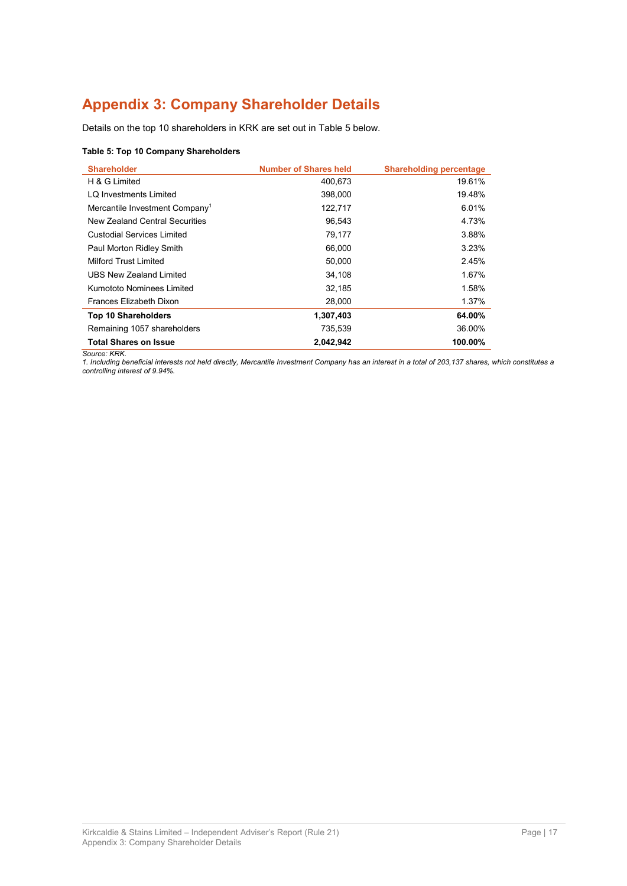# **Appendix 3: Company Shareholder Details**

Details on the top 10 shareholders in KRK are set out i[n Table 5](#page-36-0) below.

#### <span id="page-36-0"></span>**Table 5: Top 10 Company Shareholders**

| <b>Shareholder</b>                         | <b>Number of Shares held</b> | <b>Shareholding percentage</b> |
|--------------------------------------------|------------------------------|--------------------------------|
| H & G Limited                              | 400.673                      | 19.61%                         |
| LQ Investments Limited                     | 398,000                      | 19.48%                         |
| Mercantile Investment Company <sup>1</sup> | 122,717                      | 6.01%                          |
| New Zealand Central Securities             | 96.543                       | 4.73%                          |
| Custodial Services Limited                 | 79,177                       | 3.88%                          |
| Paul Morton Ridley Smith                   | 66,000                       | 3.23%                          |
| Milford Trust Limited                      | 50.000                       | 2.45%                          |
| UBS New Zealand Limited                    | 34.108                       | 1.67%                          |
| Kumototo Nominees Limited                  | 32,185                       | 1.58%                          |
| Frances Elizabeth Dixon                    | 28,000                       | 1.37%                          |
| <b>Top 10 Shareholders</b>                 | 1,307,403                    | 64.00%                         |
| Remaining 1057 shareholders                | 735,539                      | 36.00%                         |
| <b>Total Shares on Issue</b>               | 2,042,942                    | 100.00%                        |

*Source: KRK.*

*1. Including beneficial interests not held directly, Mercantile Investment Company has an interest in a total of 203,137 shares, which constitutes a controlling interest of 9.94%.*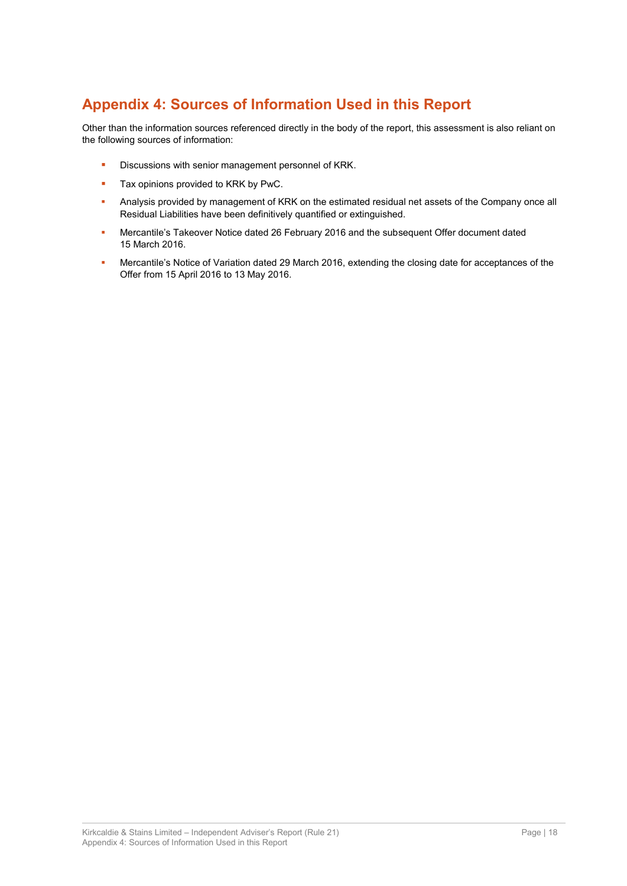# **Appendix 4: Sources of Information Used in this Report**

Other than the information sources referenced directly in the body of the report, this assessment is also reliant on the following sources of information:

- Discussions with senior management personnel of KRK.
- Tax opinions provided to KRK by PwC.
- Analysis provided by management of KRK on the estimated residual net assets of the Company once all Residual Liabilities have been definitively quantified or extinguished.
- **Mercantile's Takeover Notice dated 26 February 2016 and the subsequent Offer document dated** 15 March 2016.
- Mercantile's Notice of Variation dated 29 March 2016, extending the closing date for acceptances of the Offer from 15 April 2016 to 13 May 2016.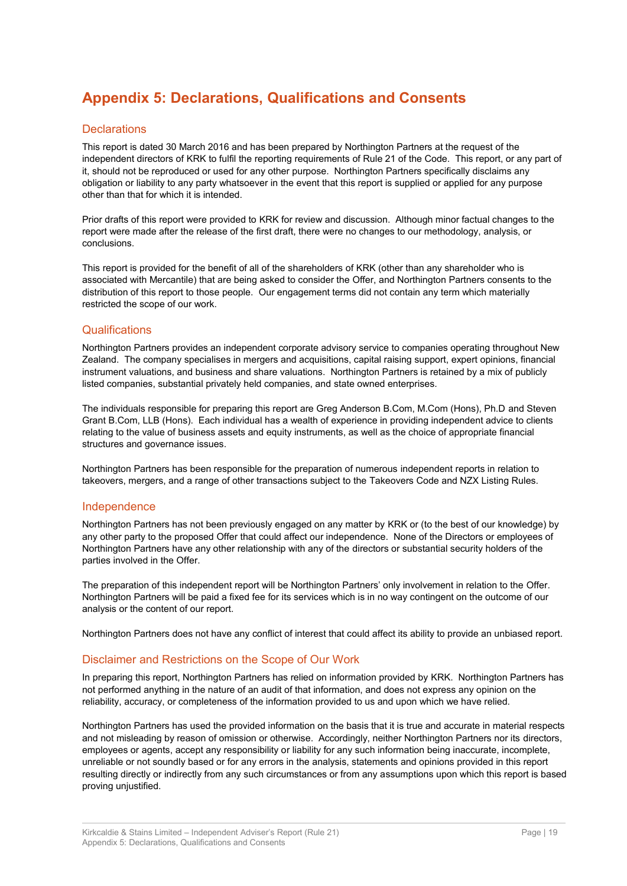# **Appendix 5: Declarations, Qualifications and Consents**

### **Declarations**

This report is dated 30 March 2016 and has been prepared by Northington Partners at the request of the independent directors of KRK to fulfil the reporting requirements of Rule 21 of the Code. This report, or any part of it, should not be reproduced or used for any other purpose. Northington Partners specifically disclaims any obligation or liability to any party whatsoever in the event that this report is supplied or applied for any purpose other than that for which it is intended.

Prior drafts of this report were provided to KRK for review and discussion. Although minor factual changes to the report were made after the release of the first draft, there were no changes to our methodology, analysis, or conclusions.

This report is provided for the benefit of all of the shareholders of KRK (other than any shareholder who is associated with Mercantile) that are being asked to consider the Offer, and Northington Partners consents to the distribution of this report to those people. Our engagement terms did not contain any term which materially restricted the scope of our work.

### Qualifications

Northington Partners provides an independent corporate advisory service to companies operating throughout New Zealand. The company specialises in mergers and acquisitions, capital raising support, expert opinions, financial instrument valuations, and business and share valuations. Northington Partners is retained by a mix of publicly listed companies, substantial privately held companies, and state owned enterprises.

The individuals responsible for preparing this report are Greg Anderson B.Com, M.Com (Hons), Ph.D and Steven Grant B.Com, LLB (Hons). Each individual has a wealth of experience in providing independent advice to clients relating to the value of business assets and equity instruments, as well as the choice of appropriate financial structures and governance issues.

Northington Partners has been responsible for the preparation of numerous independent reports in relation to takeovers, mergers, and a range of other transactions subject to the Takeovers Code and NZX Listing Rules.

### Independence

Northington Partners has not been previously engaged on any matter by KRK or (to the best of our knowledge) by any other party to the proposed Offer that could affect our independence. None of the Directors or employees of Northington Partners have any other relationship with any of the directors or substantial security holders of the parties involved in the Offer.

The preparation of this independent report will be Northington Partners' only involvement in relation to the Offer. Northington Partners will be paid a fixed fee for its services which is in no way contingent on the outcome of our analysis or the content of our report.

Northington Partners does not have any conflict of interest that could affect its ability to provide an unbiased report.

### Disclaimer and Restrictions on the Scope of Our Work

In preparing this report, Northington Partners has relied on information provided by KRK. Northington Partners has not performed anything in the nature of an audit of that information, and does not express any opinion on the reliability, accuracy, or completeness of the information provided to us and upon which we have relied.

Northington Partners has used the provided information on the basis that it is true and accurate in material respects and not misleading by reason of omission or otherwise. Accordingly, neither Northington Partners nor its directors, employees or agents, accept any responsibility or liability for any such information being inaccurate, incomplete, unreliable or not soundly based or for any errors in the analysis, statements and opinions provided in this report resulting directly or indirectly from any such circumstances or from any assumptions upon which this report is based proving unjustified.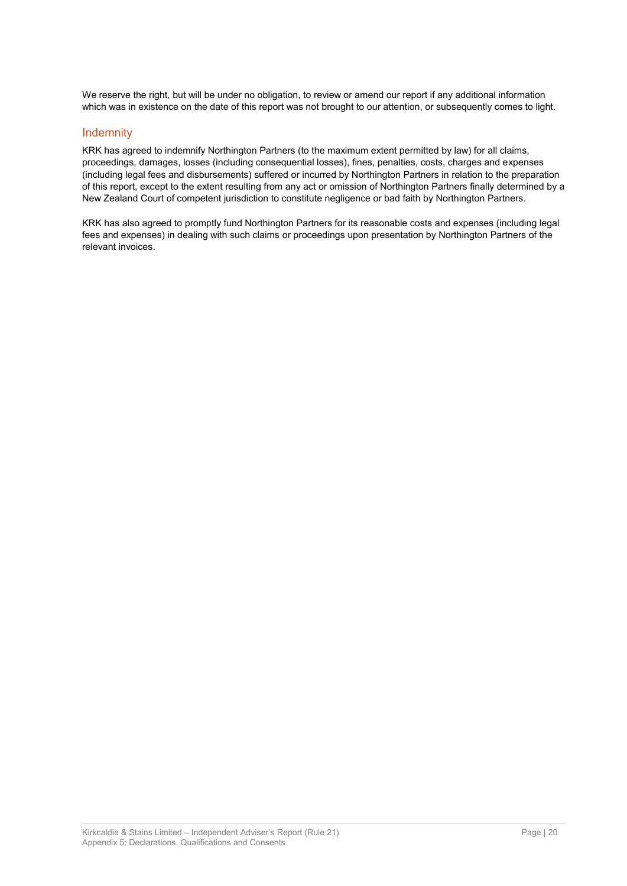We reserve the right, but will be under no obligation, to review or amend our report if any additional information which was in existence on the date of this report was not brought to our attention, or subsequently comes to light.

### Indemnity

KRK has agreed to indemnify Northington Partners (to the maximum extent permitted by law) for all claims, proceedings, damages, losses (including consequential losses), fines, penalties, costs, charges and expenses (including legal fees and disbursements) suffered or incurred by Northington Partners in relation to the preparation of this report, except to the extent resulting from any act or omission of Northington Partners finally determined by a New Zealand Court of competent jurisdiction to constitute negligence or bad faith by Northington Partners.

KRK has also agreed to promptly fund Northington Partners for its reasonable costs and expenses (including legal fees and expenses) in dealing with such claims or proceedings upon presentation by Northington Partners of the relevant invoices.